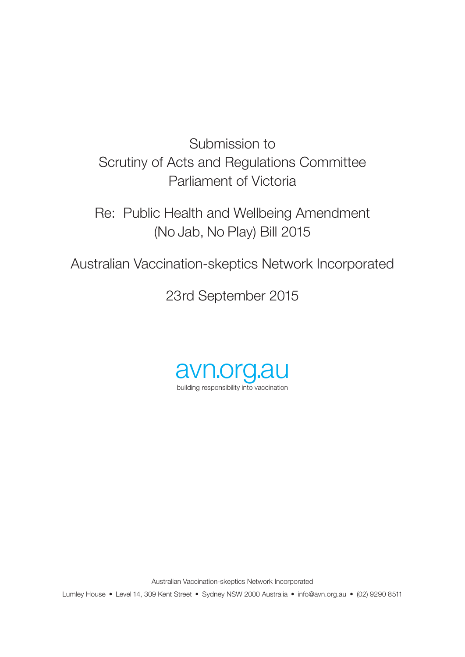Submission to Scrutiny of Acts and Regulations Committee Parliament of Victoria

Re: Public Health and Wellbeing Amendment (No Jab, No Play) Bill 2015

Australian Vaccination-skeptics Network Incorporated

23rd September 2015



Australian Vaccination-skeptics Network Incorporated

Lumley House • Level 14, 309 Kent Street • Sydney NSW 2000 Australia • info@avn.org.au • (02) 9290 8511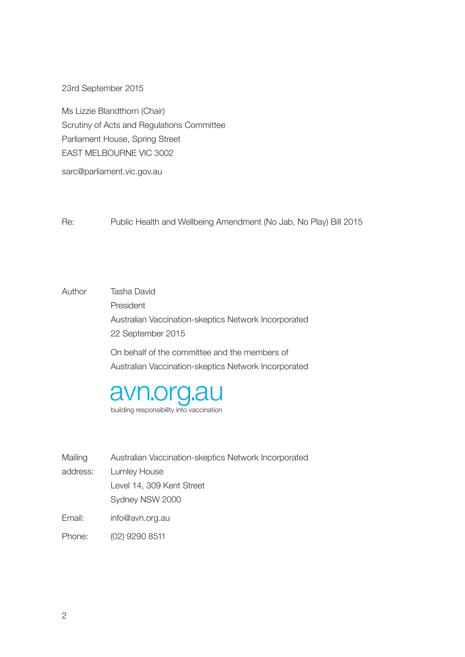23rd September 2015

Ms Lizzie Blandthorn (Chair) Scrutiny of Acts and Regulations Committee Parliament House, Spring Street EAST MELBOURNE VIC 3002

sarc@parliament.vic.gov.au

Re: Public Health and Wellbeing Amendment (No Jab, No Play) Bill 2015

Author Tasha David President Australian Vaccination-skeptics Network Incorporated 22 September 2015 On behalf of the committee and the members of Australian Vaccination-skeptics Network Incorporated



building responsibility into vaccination

| Mailing  | Australian Vaccination-skeptics Network Incorporated |
|----------|------------------------------------------------------|
| address: | Lumley House                                         |
|          | Level 14, 309 Kent Street                            |
|          | Sydney NSW 2000                                      |
|          |                                                      |

Email: info@avn.org.au

Phone: (02) 9290 8511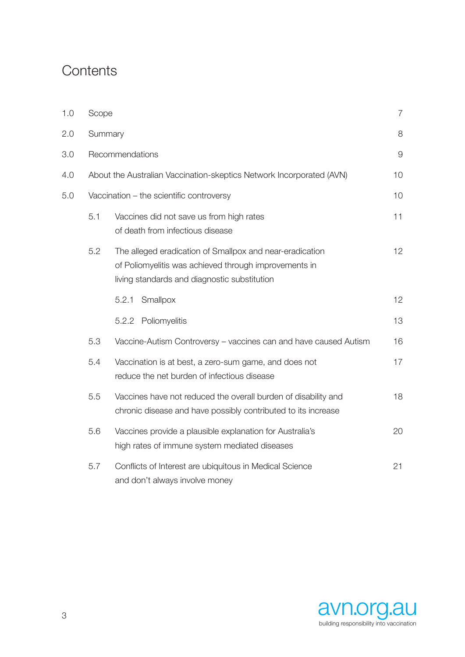## **Contents**

| 1.0 | Scope   |                                                                                                                                                                   | $\overline{7}$ |
|-----|---------|-------------------------------------------------------------------------------------------------------------------------------------------------------------------|----------------|
| 2.0 | Summary |                                                                                                                                                                   | 8              |
| 3.0 |         | Recommendations                                                                                                                                                   | $\overline{9}$ |
| 4.0 |         | About the Australian Vaccination-skeptics Network Incorporated (AVN)                                                                                              | 10             |
| 5.0 |         | Vaccination - the scientific controversy                                                                                                                          | 10             |
|     | 5.1     | Vaccines did not save us from high rates<br>of death from infectious disease                                                                                      | 11             |
|     | 5.2     | The alleged eradication of Smallpox and near-eradication<br>of Poliomyelitis was achieved through improvements in<br>living standards and diagnostic substitution | 12             |
|     |         | 5.2.1<br>Smallpox                                                                                                                                                 | 12             |
|     |         | 5.2.2 Poliomyelitis                                                                                                                                               | 13             |
|     | 5.3     | Vaccine-Autism Controversy - vaccines can and have caused Autism                                                                                                  | 16             |
|     | 5.4     | Vaccination is at best, a zero-sum game, and does not<br>reduce the net burden of infectious disease                                                              | 17             |
|     | 5.5     | Vaccines have not reduced the overall burden of disability and<br>chronic disease and have possibly contributed to its increase                                   | 18             |
|     | 5.6     | Vaccines provide a plausible explanation for Australia's<br>high rates of immune system mediated diseases                                                         | 20             |
|     | 5.7     | Conflicts of Interest are ubiquitous in Medical Science<br>and don't always involve money                                                                         | 21             |

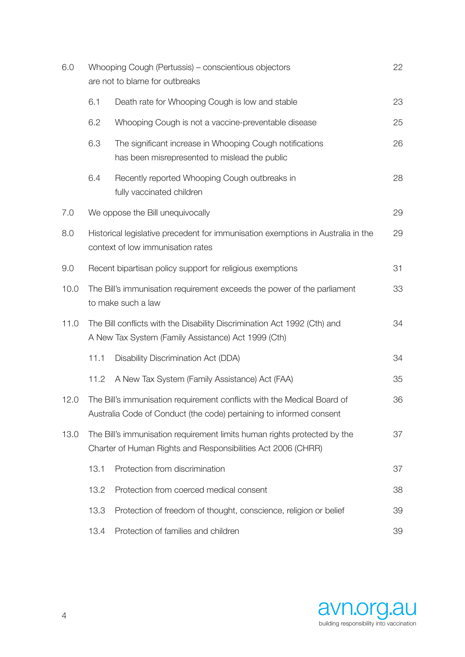| 6.0  | Whooping Cough (Pertussis) – conscientious objectors<br>are not to blame for outbreaks                                                         |                                                                                                                                 | 22 |
|------|------------------------------------------------------------------------------------------------------------------------------------------------|---------------------------------------------------------------------------------------------------------------------------------|----|
|      | 6.1                                                                                                                                            | Death rate for Whooping Cough is low and stable                                                                                 | 23 |
|      | 6.2                                                                                                                                            | Whooping Cough is not a vaccine-preventable disease                                                                             | 25 |
|      | 6.3                                                                                                                                            | The significant increase in Whooping Cough notifications<br>has been misrepresented to mislead the public                       | 26 |
|      | 6.4                                                                                                                                            | Recently reported Whooping Cough outbreaks in<br>fully vaccinated children                                                      | 28 |
| 7.0  |                                                                                                                                                | We oppose the Bill unequivocally                                                                                                | 29 |
| 8.0  |                                                                                                                                                | Historical legislative precedent for immunisation exemptions in Australia in the<br>context of low immunisation rates           | 29 |
| 9.0  |                                                                                                                                                | Recent bipartisan policy support for religious exemptions                                                                       | 31 |
| 10.0 |                                                                                                                                                | The Bill's immunisation requirement exceeds the power of the parliament<br>to make such a law                                   | 33 |
| 11.0 |                                                                                                                                                | The Bill conflicts with the Disability Discrimination Act 1992 (Cth) and<br>A New Tax System (Family Assistance) Act 1999 (Cth) | 34 |
|      | 11.1                                                                                                                                           | Disability Discrimination Act (DDA)                                                                                             | 34 |
|      | 11.2                                                                                                                                           | A New Tax System (Family Assistance) Act (FAA)                                                                                  | 35 |
| 12.0 | The Bill's immunisation requirement conflicts with the Medical Board of<br>Australia Code of Conduct (the code) pertaining to informed consent |                                                                                                                                 | 36 |
| 13.0 | The Bill's immunisation requirement limits human rights protected by the<br>Charter of Human Rights and Responsibilities Act 2006 (CHRR)       |                                                                                                                                 | 37 |
|      | 13.1                                                                                                                                           | Protection from discrimination                                                                                                  | 37 |
|      | 13.2                                                                                                                                           | Protection from coerced medical consent                                                                                         | 38 |
|      | 13.3                                                                                                                                           | Protection of freedom of thought, conscience, religion or belief                                                                | 39 |
|      | 13.4                                                                                                                                           | Protection of families and children                                                                                             | 39 |

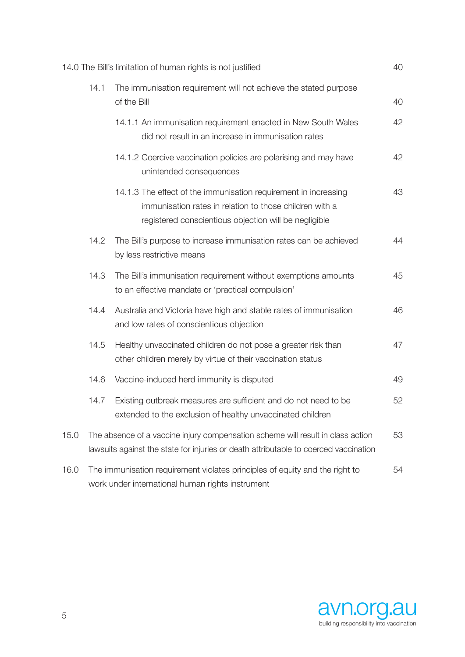|      |      | 14.0 The Bill's limitation of human rights is not justified                                                                                                                         | 40 |
|------|------|-------------------------------------------------------------------------------------------------------------------------------------------------------------------------------------|----|
|      | 14.1 | The immunisation requirement will not achieve the stated purpose<br>of the Bill                                                                                                     | 40 |
|      |      | 14.1.1 An immunisation requirement enacted in New South Wales<br>did not result in an increase in immunisation rates                                                                | 42 |
|      |      | 14.1.2 Coercive vaccination policies are polarising and may have<br>unintended consequences                                                                                         | 42 |
|      |      | 14.1.3 The effect of the immunisation requirement in increasing<br>immunisation rates in relation to those children with a<br>registered conscientious objection will be negligible | 43 |
|      | 14.2 | The Bill's purpose to increase immunisation rates can be achieved<br>by less restrictive means                                                                                      | 44 |
|      | 14.3 | The Bill's immunisation requirement without exemptions amounts<br>to an effective mandate or 'practical compulsion'                                                                 | 45 |
|      | 14.4 | Australia and Victoria have high and stable rates of immunisation<br>and low rates of conscientious objection                                                                       | 46 |
|      | 14.5 | Healthy unvaccinated children do not pose a greater risk than<br>other children merely by virtue of their vaccination status                                                        | 47 |
|      | 14.6 | Vaccine-induced herd immunity is disputed                                                                                                                                           | 49 |
|      | 14.7 | Existing outbreak measures are sufficient and do not need to be<br>extended to the exclusion of healthy unvaccinated children                                                       | 52 |
| 15.0 |      | The absence of a vaccine injury compensation scheme will result in class action<br>lawsuits against the state for injuries or death attributable to coerced vaccination             | 53 |
| 16.0 |      | The immunisation requirement violates principles of equity and the right to<br>work under international human rights instrument                                                     | 54 |

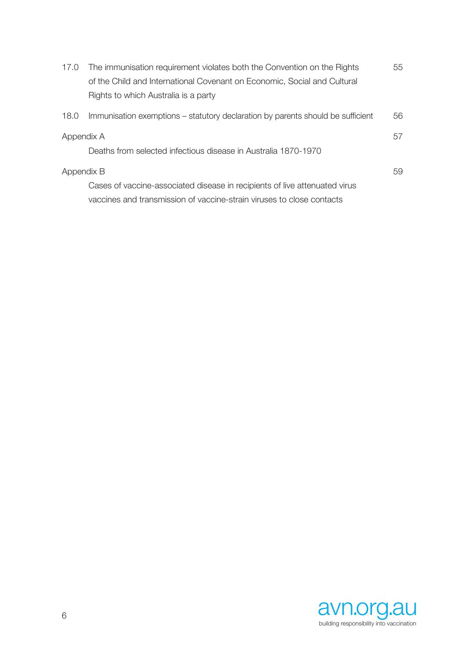| 17.0       | The immunisation requirement violates both the Convention on the Rights         | 55 |
|------------|---------------------------------------------------------------------------------|----|
|            | of the Child and International Covenant on Economic, Social and Cultural        |    |
|            | Rights to which Australia is a party                                            |    |
| 18.0       | Immunisation exemptions – statutory declaration by parents should be sufficient | 56 |
| Appendix A |                                                                                 | 57 |
|            | Deaths from selected infectious disease in Australia 1870-1970                  |    |
| Appendix B |                                                                                 | 59 |
|            | Cases of vaccine-associated disease in recipients of live attenuated virus      |    |
|            | vaccines and transmission of vaccine-strain viruses to close contacts           |    |

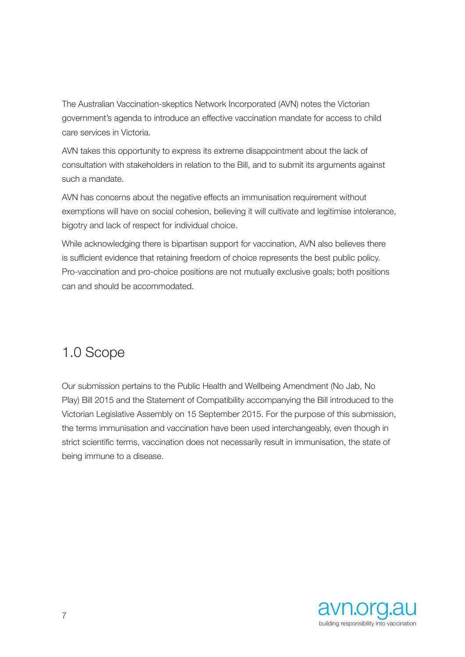The Australian Vaccination-skeptics Network Incorporated (AVN) notes the Victorian government's agenda to introduce an effective vaccination mandate for access to child care services in Victoria.

AVN takes this opportunity to express its extreme disappointment about the lack of consultation with stakeholders in relation to the Bill, and to submit its arguments against such a mandate.

AVN has concerns about the negative effects an immunisation requirement without exemptions will have on social cohesion, believing it will cultivate and legitimise intolerance, bigotry and lack of respect for individual choice.

While acknowledging there is bipartisan support for vaccination, AVN also believes there is sufficient evidence that retaining freedom of choice represents the best public policy. Pro-vaccination and pro-choice positions are not mutually exclusive goals; both positions can and should be accommodated.

# 1.0 Scope

Our submission pertains to the Public Health and Wellbeing Amendment (No Jab, No Play) Bill 2015 and the Statement of Compatibility accompanying the Bill introduced to the Victorian Legislative Assembly on 15 September 2015. For the purpose of this submission, the terms immunisation and vaccination have been used interchangeably, even though in strict scientific terms, vaccination does not necessarily result in immunisation, the state of being immune to a disease.

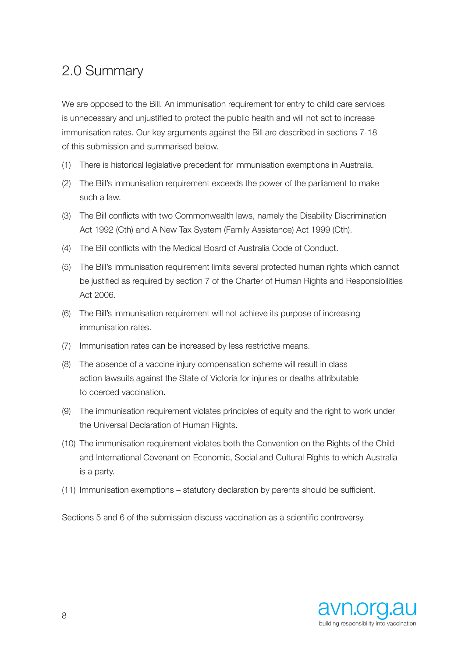## 2.0 Summary

We are opposed to the Bill. An immunisation requirement for entry to child care services is unnecessary and unjustified to protect the public health and will not act to increase immunisation rates. Our key arguments against the Bill are described in sections 7-18 of this submission and summarised below.

- (1) There is historical legislative precedent for immunisation exemptions in Australia.
- (2) The Bill's immunisation requirement exceeds the power of the parliament to make such a law.
- (3) The Bill conflicts with two Commonwealth laws, namely the Disability Discrimination Act 1992 (Cth) and A New Tax System (Family Assistance) Act 1999 (Cth).
- (4) The Bill conflicts with the Medical Board of Australia Code of Conduct.
- (5) The Bill's immunisation requirement limits several protected human rights which cannot be justified as required by section 7 of the Charter of Human Rights and Responsibilities Act 2006.
- (6) The Bill's immunisation requirement will not achieve its purpose of increasing immunisation rates.
- (7) Immunisation rates can be increased by less restrictive means.
- (8) The absence of a vaccine injury compensation scheme will result in class action lawsuits against the State of Victoria for injuries or deaths attributable to coerced vaccination.
- (9) The immunisation requirement violates principles of equity and the right to work under the Universal Declaration of Human Rights.
- (10) The immunisation requirement violates both the Convention on the Rights of the Child and International Covenant on Economic, Social and Cultural Rights to which Australia is a party.
- (11) Immunisation exemptions statutory declaration by parents should be sufficient.

Sections 5 and 6 of the submission discuss vaccination as a scientific controversy.

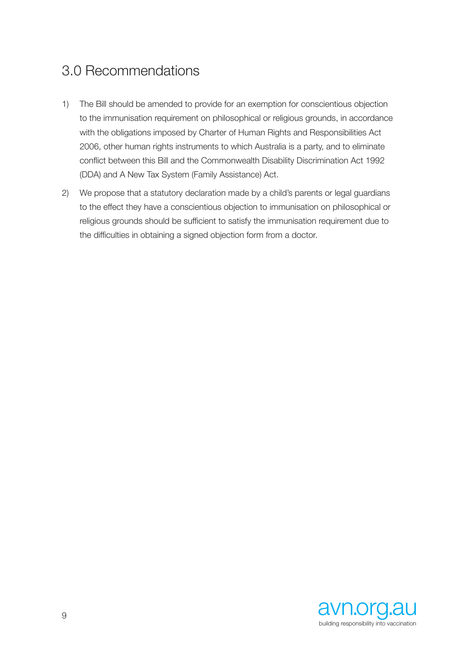## 3.0 Recommendations

- 1) The Bill should be amended to provide for an exemption for conscientious objection to the immunisation requirement on philosophical or religious grounds, in accordance with the obligations imposed by Charter of Human Rights and Responsibilities Act 2006, other human rights instruments to which Australia is a party, and to eliminate conflict between this Bill and the Commonwealth Disability Discrimination Act 1992 (DDA) and A New Tax System (Family Assistance) Act.
- 2) We propose that a statutory declaration made by a child's parents or legal guardians to the effect they have a conscientious objection to immunisation on philosophical or religious grounds should be sufficient to satisfy the immunisation requirement due to the difficulties in obtaining a signed objection form from a doctor.

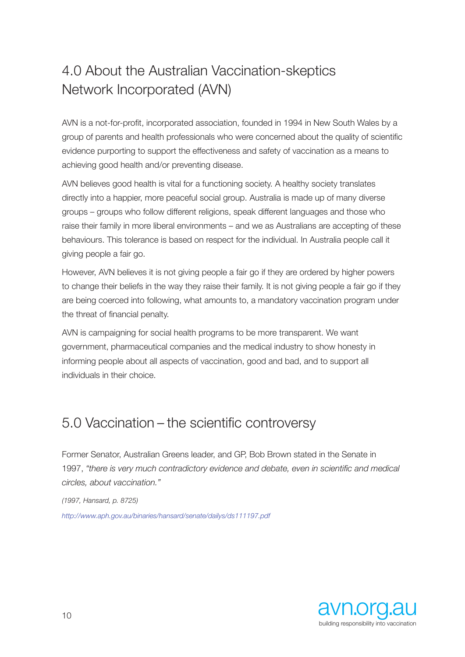# 4.0 About the Australian Vaccination-skeptics Network Incorporated (AVN)

AVN is a not-for-profit, incorporated association, founded in 1994 in New South Wales by a group of parents and health professionals who were concerned about the quality of scientific evidence purporting to support the effectiveness and safety of vaccination as a means to achieving good health and/or preventing disease.

AVN believes good health is vital for a functioning society. A healthy society translates directly into a happier, more peaceful social group. Australia is made up of many diverse groups – groups who follow different religions, speak different languages and those who raise their family in more liberal environments – and we as Australians are accepting of these behaviours. This tolerance is based on respect for the individual. In Australia people call it giving people a fair go.

However, AVN believes it is not giving people a fair go if they are ordered by higher powers to change their beliefs in the way they raise their family. It is not giving people a fair go if they are being coerced into following, what amounts to, a mandatory vaccination program under the threat of financial penalty.

AVN is campaigning for social health programs to be more transparent. We want government, pharmaceutical companies and the medical industry to show honesty in informing people about all aspects of vaccination, good and bad, and to support all individuals in their choice.

## 5.0 Vaccination – the scientific controversy

Former Senator, Australian Greens leader, and GP, Bob Brown stated in the Senate in 1997, *"there is very much contradictory evidence and debate, even in scientific and medical circles, about vaccination."* 

*(1997, Hansard, p. 8725)*

*http://www.aph.gov.au/binaries/hansard/senate/dailys/ds111197.pdf*

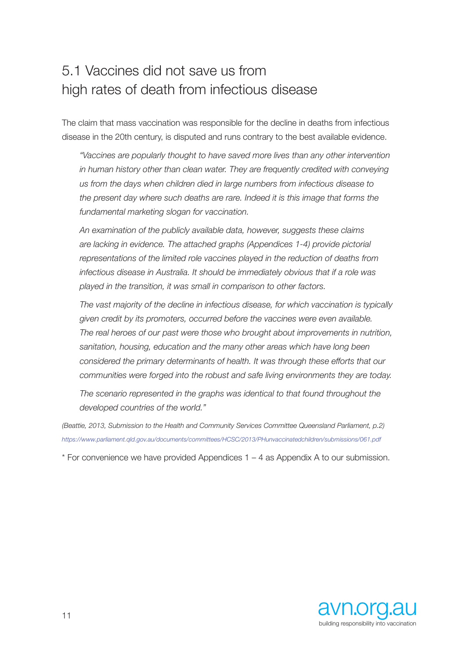## 5.1 Vaccines did not save us from high rates of death from infectious disease

The claim that mass vaccination was responsible for the decline in deaths from infectious disease in the 20th century, is disputed and runs contrary to the best available evidence.

*"Vaccines are popularly thought to have saved more lives than any other intervention*  in human history other than clean water. They are frequently credited with conveying *us from the days when children died in large numbers from infectious disease to the present day where such deaths are rare. Indeed it is this image that forms the fundamental marketing slogan for vaccination.*

*An examination of the publicly available data, however, suggests these claims are lacking in evidence. The attached graphs (Appendices 1-4) provide pictorial representations of the limited role vaccines played in the reduction of deaths from infectious disease in Australia. It should be immediately obvious that if a role was played in the transition, it was small in comparison to other factors.*

*The vast majority of the decline in infectious disease, for which vaccination is typically given credit by its promoters, occurred before the vaccines were even available. The real heroes of our past were those who brought about improvements in nutrition, sanitation, housing, education and the many other areas which have long been considered the primary determinants of health. It was through these efforts that our communities were forged into the robust and safe living environments they are today.*

*The scenario represented in the graphs was identical to that found throughout the developed countries of the world."*

*(Beattie, 2013, Submission to the Health and Community Services Committee Queensland Parliament, p.2) https://www.parliament.qld.gov.au/documents/committees/HCSC/2013/PHunvaccinatedchildren/submissions/061.pdf*

\* For convenience we have provided Appendices 1 – 4 as Appendix A to our submission.

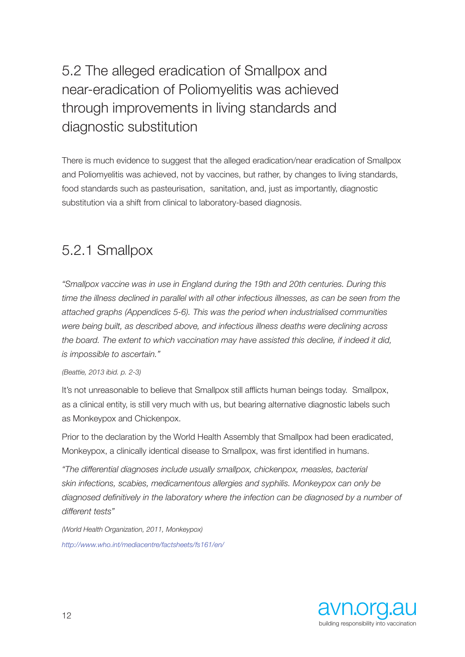# 5.2 The alleged eradication of Smallpox and near-eradication of Poliomyelitis was achieved through improvements in living standards and diagnostic substitution

There is much evidence to suggest that the alleged eradication/near eradication of Smallpox and Poliomyelitis was achieved, not by vaccines, but rather, by changes to living standards, food standards such as pasteurisation, sanitation, and, just as importantly, diagnostic substitution via a shift from clinical to laboratory-based diagnosis.

## 5.2.1 Smallpox

*"Smallpox vaccine was in use in England during the 19th and 20th centuries. During this*  time the illness declined in parallel with all other infectious illnesses, as can be seen from the *attached graphs (Appendices 5-6). This was the period when industrialised communities were being built, as described above, and infectious illness deaths were declining across the board. The extent to which vaccination may have assisted this decline, if indeed it did, is impossible to ascertain."* 

### *(Beattie, 2013 ibid. p. 2-3)*

It's not unreasonable to believe that Smallpox still afflicts human beings today. Smallpox, as a clinical entity, is still very much with us, but bearing alternative diagnostic labels such as Monkeypox and Chickenpox.

Prior to the declaration by the World Health Assembly that Smallpox had been eradicated, Monkeypox, a clinically identical disease to Smallpox, was first identified in humans.

*"The differential diagnoses include usually smallpox, chickenpox, measles, bacterial skin infections, scabies, medicamentous allergies and syphilis. Monkeypox can only be*  diagnosed definitively in the laboratory where the infection can be diagnosed by a number of *different tests"* 

*(World Health Organization, 2011, Monkeypox) http://www.who.int/mediacentre/factsheets/fs161/en/*

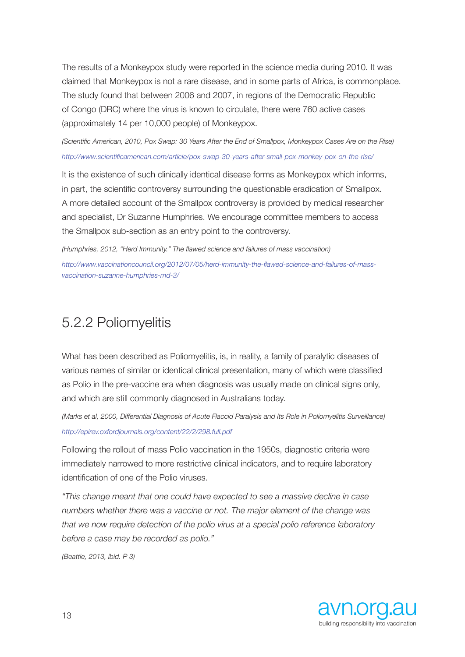The results of a Monkeypox study were reported in the science media during 2010. It was claimed that Monkeypox is not a rare disease, and in some parts of Africa, is commonplace. The study found that between 2006 and 2007, in regions of the Democratic Republic of Congo (DRC) where the virus is known to circulate, there were 760 active cases (approximately 14 per 10,000 people) of Monkeypox.

*(Scientific American, 2010, Pox Swap: 30 Years After the End of Smallpox, Monkeypox Cases Are on the Rise) http://www.scientificamerican.com/article/pox-swap-30-years-after-small-pox-monkey-pox-on-the-rise/*

It is the existence of such clinically identical disease forms as Monkeypox which informs, in part, the scientific controversy surrounding the questionable eradication of Smallpox. A more detailed account of the Smallpox controversy is provided by medical researcher and specialist, Dr Suzanne Humphries. We encourage committee members to access the Smallpox sub-section as an entry point to the controversy.

*(Humphries, 2012, "Herd Immunity." The flawed science and failures of mass vaccination) http://www.vaccinationcouncil.org/2012/07/05/herd-immunity-the-flawed-science-and-failures-of-massvaccination-suzanne-humphries-md-3/*

## 5.2.2 Poliomyelitis

What has been described as Poliomyelitis, is, in reality, a family of paralytic diseases of various names of similar or identical clinical presentation, many of which were classified as Polio in the pre-vaccine era when diagnosis was usually made on clinical signs only, and which are still commonly diagnosed in Australians today.

*(Marks et al, 2000, Differential Diagnosis of Acute Flaccid Paralysis and Its Role in Poliomyelitis Surveillance) http://epirev.oxfordjournals.org/content/22/2/298.full.pdf*

Following the rollout of mass Polio vaccination in the 1950s, diagnostic criteria were immediately narrowed to more restrictive clinical indicators, and to require laboratory identification of one of the Polio viruses.

*"This change meant that one could have expected to see a massive decline in case numbers whether there was a vaccine or not. The major element of the change was that we now require detection of the polio virus at a special polio reference laboratory before a case may be recorded as polio."* 

*(Beattie, 2013, ibid. P 3)* 

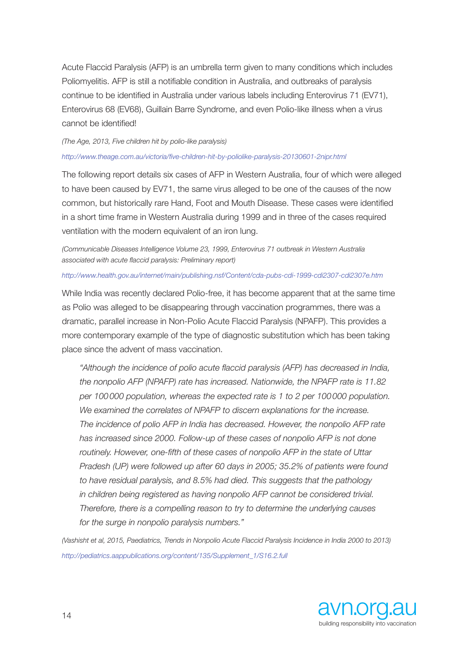Acute Flaccid Paralysis (AFP) is an umbrella term given to many conditions which includes Poliomyelitis. AFP is still a notifiable condition in Australia, and outbreaks of paralysis continue to be identified in Australia under various labels including Enterovirus 71 (EV71), Enterovirus 68 (EV68), Guillain Barre Syndrome, and even Polio-like illness when a virus cannot be identified!

#### *(The Age, 2013, Five children hit by polio-like paralysis)*

#### *http://www.theage.com.au/victoria/five-children-hit-by-poliolike-paralysis-20130601-2nipr.html*

The following report details six cases of AFP in Western Australia, four of which were alleged to have been caused by EV71, the same virus alleged to be one of the causes of the now common, but historically rare Hand, Foot and Mouth Disease. These cases were identified in a short time frame in Western Australia during 1999 and in three of the cases required ventilation with the modern equivalent of an iron lung.

*(Communicable Diseases Intelligence Volume 23, 1999, Enterovirus 71 outbreak in Western Australia associated with acute flaccid paralysis: Preliminary report)*

#### *http://www.health.gov.au/internet/main/publishing.nsf/Content/cda-pubs-cdi-1999-cdi2307-cdi2307e.htm*

While India was recently declared Polio-free, it has become apparent that at the same time as Polio was alleged to be disappearing through vaccination programmes, there was a dramatic, parallel increase in Non-Polio Acute Flaccid Paralysis (NPAFP). This provides a more contemporary example of the type of diagnostic substitution which has been taking place since the advent of mass vaccination.

*"Although the incidence of polio acute flaccid paralysis (AFP) has decreased in India, the nonpolio AFP (NPAFP) rate has increased. Nationwide, the NPAFP rate is 11.82 per 100000 population, whereas the expected rate is 1 to 2 per 100000 population. We examined the correlates of NPAFP to discern explanations for the increase. The incidence of polio AFP in India has decreased. However, the nonpolio AFP rate has increased since 2000. Follow-up of these cases of nonpolio AFP is not done routinely. However, one-fifth of these cases of nonpolio AFP in the state of Uttar Pradesh (UP) were followed up after 60 days in 2005; 35.2% of patients were found to have residual paralysis, and 8.5% had died. This suggests that the pathology in children being registered as having nonpolio AFP cannot be considered trivial. Therefore, there is a compelling reason to try to determine the underlying causes for the surge in nonpolio paralysis numbers."*

*(Vashisht et al, 2015, Paediatrics, Trends in Nonpolio Acute Flaccid Paralysis Incidence in India 2000 to 2013) http://pediatrics.aappublications.org/content/135/Supplement\_1/S16.2.full*

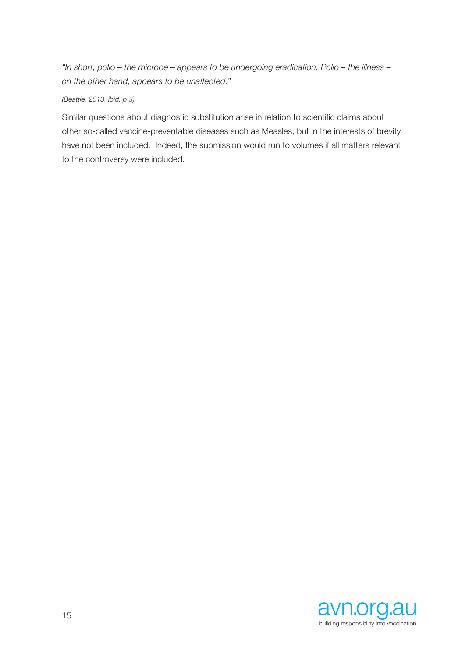*"In short, polio – the microbe – appears to be undergoing eradication. Polio – the illness – on the other hand, appears to be unaffected."* 

### *(Beattie, 2013, ibid. p 3)*

Similar questions about diagnostic substitution arise in relation to scientific claims about other so-called vaccine-preventable diseases such as Measles, but in the interests of brevity have not been included. Indeed, the submission would run to volumes if all matters relevant to the controversy were included.

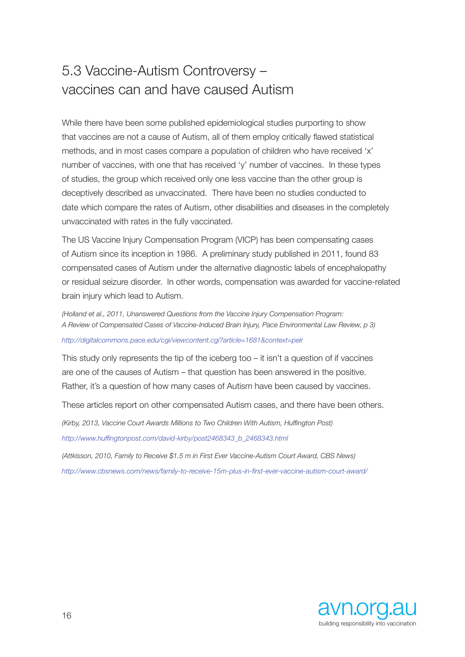## 5.3 Vaccine-Autism Controversy – vaccines can and have caused Autism

While there have been some published epidemiological studies purporting to show that vaccines are not a cause of Autism, all of them employ critically flawed statistical methods, and in most cases compare a population of children who have received 'x' number of vaccines, with one that has received 'y' number of vaccines. In these types of studies, the group which received only one less vaccine than the other group is deceptively described as unvaccinated. There have been no studies conducted to date which compare the rates of Autism, other disabilities and diseases in the completely unvaccinated with rates in the fully vaccinated.

The US Vaccine Injury Compensation Program (VICP) has been compensating cases of Autism since its inception in 1986. A preliminary study published in 2011, found 83 compensated cases of Autism under the alternative diagnostic labels of encephalopathy or residual seizure disorder. In other words, compensation was awarded for vaccine-related brain injury which lead to Autism.

*(Holland et al., 2011, Unanswered Questions from the Vaccine Injury Compensation Program: A Review of Compensated Cases of Vaccine-Induced Brain Injury, Pace Environmental Law Review, p 3)*

*http://digitalcommons.pace.edu/cgi/viewcontent.cgi?article=1681&context=pelr*

This study only represents the tip of the iceberg too – it isn't a question of if vaccines are one of the causes of Autism – that question has been answered in the positive. Rather, it's a question of how many cases of Autism have been caused by vaccines.

These articles report on other compensated Autism cases, and there have been others.

*(Kirby, 2013, Vaccine Court Awards Millions to Two Children With Autism, Huffington Post) http://www.huffingtonpost.com/david-kirby/post2468343\_b\_2468343.html*

*(Attkisson, 2010, Family to Receive \$1.5 m in First Ever Vaccine-Autism Court Award, CBS News) http://www.cbsnews.com/news/family-to-receive-15m-plus-in-first-ever-vaccine-autism-court-award/*

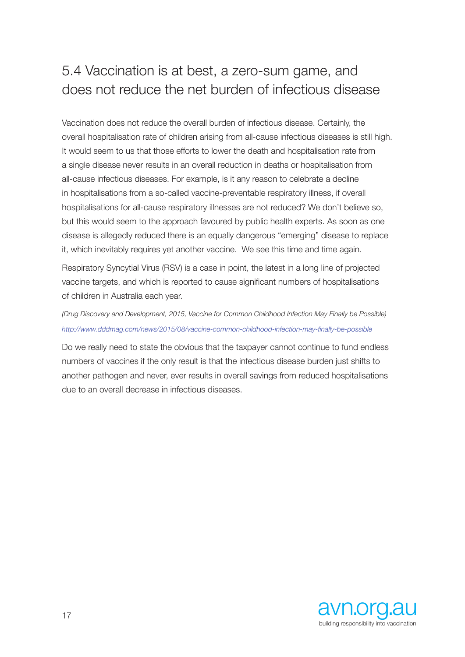## 5.4 Vaccination is at best, a zero-sum game, and does not reduce the net burden of infectious disease

Vaccination does not reduce the overall burden of infectious disease. Certainly, the overall hospitalisation rate of children arising from all-cause infectious diseases is still high. It would seem to us that those efforts to lower the death and hospitalisation rate from a single disease never results in an overall reduction in deaths or hospitalisation from all-cause infectious diseases. For example, is it any reason to celebrate a decline in hospitalisations from a so-called vaccine-preventable respiratory illness, if overall hospitalisations for all-cause respiratory illnesses are not reduced? We don't believe so, but this would seem to the approach favoured by public health experts. As soon as one disease is allegedly reduced there is an equally dangerous "emerging" disease to replace it, which inevitably requires yet another vaccine. We see this time and time again.

Respiratory Syncytial Virus (RSV) is a case in point, the latest in a long line of projected vaccine targets, and which is reported to cause significant numbers of hospitalisations of children in Australia each year.

*(Drug Discovery and Development, 2015, Vaccine for Common Childhood Infection May Finally be Possible) http://www.dddmag.com/news/2015/08/vaccine-common-childhood-infection-may-finally-be-possible*

Do we really need to state the obvious that the taxpayer cannot continue to fund endless numbers of vaccines if the only result is that the infectious disease burden just shifts to another pathogen and never, ever results in overall savings from reduced hospitalisations due to an overall decrease in infectious diseases.

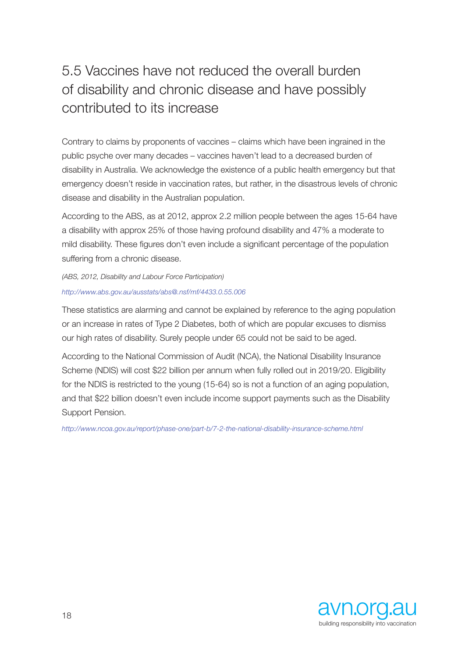# 5.5 Vaccines have not reduced the overall burden of disability and chronic disease and have possibly contributed to its increase

Contrary to claims by proponents of vaccines – claims which have been ingrained in the public psyche over many decades – vaccines haven't lead to a decreased burden of disability in Australia. We acknowledge the existence of a public health emergency but that emergency doesn't reside in vaccination rates, but rather, in the disastrous levels of chronic disease and disability in the Australian population.

According to the ABS, as at 2012, approx 2.2 million people between the ages 15-64 have a disability with approx 25% of those having profound disability and 47% a moderate to mild disability. These figures don't even include a significant percentage of the population suffering from a chronic disease.

*(ABS, 2012, Disability and Labour Force Participation) http://www.abs.gov.au/ausstats/abs@.nsf/mf/4433.0.55.006*

These statistics are alarming and cannot be explained by reference to the aging population or an increase in rates of Type 2 Diabetes, both of which are popular excuses to dismiss our high rates of disability. Surely people under 65 could not be said to be aged.

According to the National Commission of Audit (NCA), the National Disability Insurance Scheme (NDIS) will cost \$22 billion per annum when fully rolled out in 2019/20. Eligibility for the NDIS is restricted to the young (15-64) so is not a function of an aging population, and that \$22 billion doesn't even include income support payments such as the Disability Support Pension.

*http://www.ncoa.gov.au/report/phase-one/part-b/7-2-the-national-disability-insurance-scheme.html*

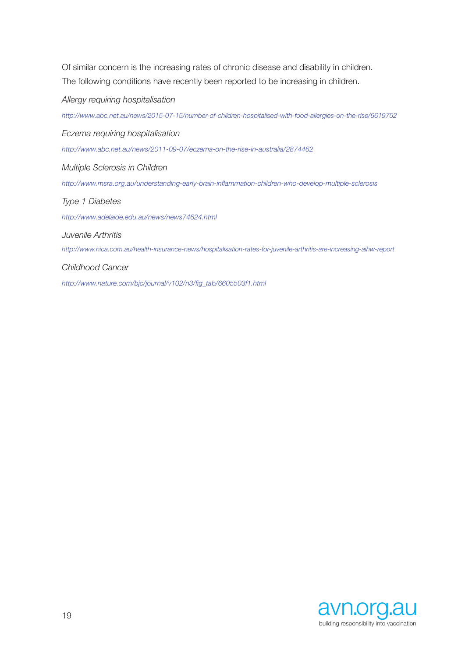Of similar concern is the increasing rates of chronic disease and disability in children. The following conditions have recently been reported to be increasing in children.

*Allergy requiring hospitalisation*

*http://www.abc.net.au/news/2015-07-15/number-of-children-hospitalised-with-food-allergies-on-the-rise/6619752*

*Eczema requiring hospitalisation*

*http://www.abc.net.au/news/2011-09-07/eczema-on-the-rise-in-australia/2874462*

*Multiple Sclerosis in Children*

*http://www.msra.org.au/understanding-early-brain-inflammation-children-who-develop-multiple-sclerosis*

### *Type 1 Diabetes*

*http://www.adelaide.edu.au/news/news74624.html*

*Juvenile Arthritis*

*http://www.hica.com.au/health-insurance-news/hospitalisation-rates-for-juvenile-arthritis-are-increasing-aihw-report*

#### *Childhood Cancer*

*http://www.nature.com/bjc/journal/v102/n3/fig\_tab/6605503f1.html*

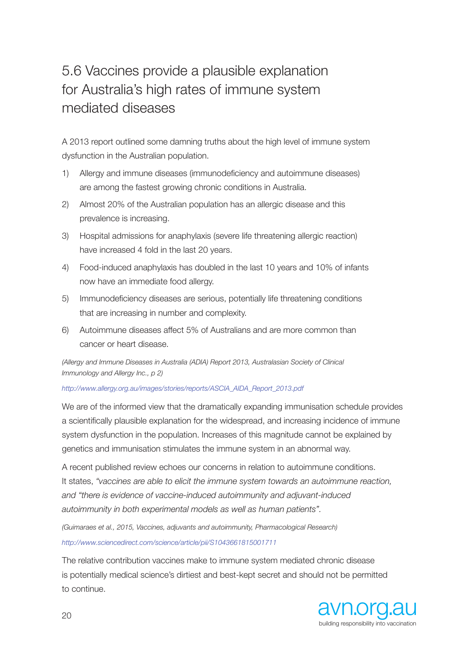# 5.6 Vaccines provide a plausible explanation for Australia's high rates of immune system mediated diseases

A 2013 report outlined some damning truths about the high level of immune system dysfunction in the Australian population.

- 1) Allergy and immune diseases (immunodeficiency and autoimmune diseases) are among the fastest growing chronic conditions in Australia.
- 2) Almost 20% of the Australian population has an allergic disease and this prevalence is increasing.
- 3) Hospital admissions for anaphylaxis (severe life threatening allergic reaction) have increased 4 fold in the last 20 years.
- 4) Food-induced anaphylaxis has doubled in the last 10 years and 10% of infants now have an immediate food allergy.
- 5) Immunodeficiency diseases are serious, potentially life threatening conditions that are increasing in number and complexity.
- 6) Autoimmune diseases affect 5% of Australians and are more common than cancer or heart disease.

*(Allergy and Immune Diseases in Australia (ADIA) Report 2013, Australasian Society of Clinical Immunology and Allergy Inc., p 2)*

### *http://www.allergy.org.au/images/stories/reports/ASCIA\_AIDA\_Report\_2013.pdf*

We are of the informed view that the dramatically expanding immunisation schedule provides a scientifically plausible explanation for the widespread, and increasing incidence of immune system dysfunction in the population. Increases of this magnitude cannot be explained by genetics and immunisation stimulates the immune system in an abnormal way.

A recent published review echoes our concerns in relation to autoimmune conditions. It states, *"vaccines are able to elicit the immune system towards an autoimmune reaction, and "there is evidence of vaccine-induced autoimmunity and adjuvant-induced autoimmunity in both experimental models as well as human patients".*

*(Guimaraes et al., 2015, Vaccines, adjuvants and autoimmunity, Pharmacological Research) http://www.sciencedirect.com/science/article/pii/S1043661815001711*

The relative contribution vaccines make to immune system mediated chronic disease is potentially medical science's dirtiest and best-kept secret and should not be permitted to continue.

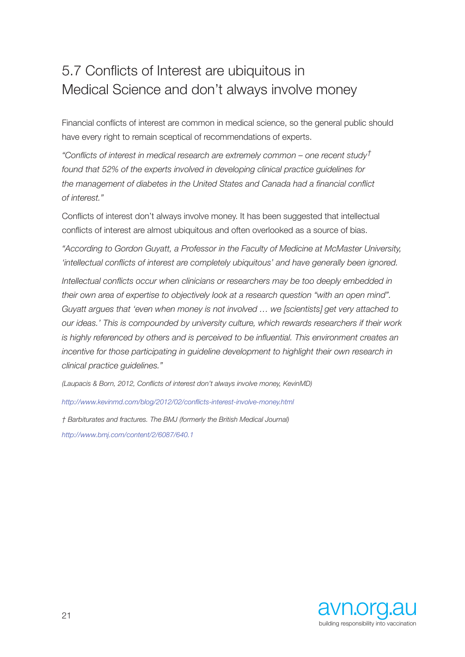## 5.7 Conflicts of Interest are ubiquitous in Medical Science and don't always involve money

Financial conflicts of interest are common in medical science, so the general public should have every right to remain sceptical of recommendations of experts.

*"Conflicts of interest in medical research are extremely common – one recent study† found that 52% of the experts involved in developing clinical practice guidelines for the management of diabetes in the United States and Canada had a financial conflict of interest."*

Conflicts of interest don't always involve money. It has been suggested that intellectual conflicts of interest are almost ubiquitous and often overlooked as a source of bias.

*"According to Gordon Guyatt, a Professor in the Faculty of Medicine at McMaster University, 'intellectual conflicts of interest are completely ubiquitous' and have generally been ignored.*

*Intellectual conflicts occur when clinicians or researchers may be too deeply embedded in their own area of expertise to objectively look at a research question "with an open mind". Guyatt argues that 'even when money is not involved … we [scientists] get very attached to our ideas.' This is compounded by university culture, which rewards researchers if their work is highly referenced by others and is perceived to be influential. This environment creates an incentive for those participating in guideline development to highlight their own research in clinical practice guidelines."*

*(Laupacis & Born, 2012, Conflicts of interest don't always involve money, KevinMD)*

*http://www.kevinmd.com/blog/2012/02/conflicts-interest-involve-money.html*

*† Barbiturates and fractures. The BMJ (formerly the British Medical Journal) http://www.bmj.com/content/2/6087/640.1*

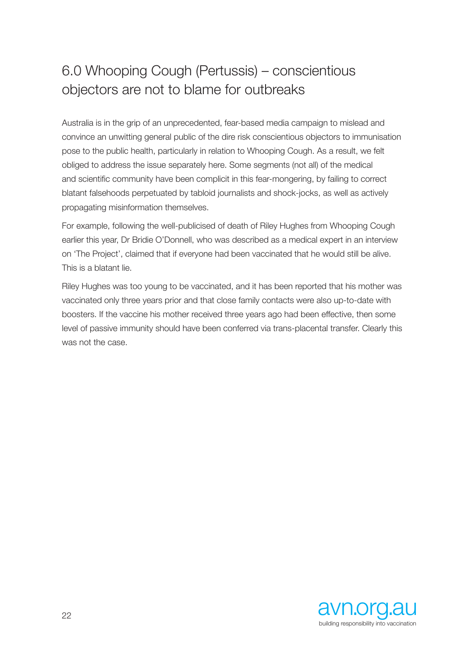## 6.0 Whooping Cough (Pertussis) – conscientious objectors are not to blame for outbreaks

Australia is in the grip of an unprecedented, fear-based media campaign to mislead and convince an unwitting general public of the dire risk conscientious objectors to immunisation pose to the public health, particularly in relation to Whooping Cough. As a result, we felt obliged to address the issue separately here. Some segments (not all) of the medical and scientific community have been complicit in this fear-mongering, by failing to correct blatant falsehoods perpetuated by tabloid journalists and shock-jocks, as well as actively propagating misinformation themselves.

For example, following the well-publicised of death of Riley Hughes from Whooping Cough earlier this year, Dr Bridie O'Donnell, who was described as a medical expert in an interview on 'The Project', claimed that if everyone had been vaccinated that he would still be alive. This is a blatant lie.

Riley Hughes was too young to be vaccinated, and it has been reported that his mother was vaccinated only three years prior and that close family contacts were also up-to-date with boosters. If the vaccine his mother received three years ago had been effective, then some level of passive immunity should have been conferred via trans-placental transfer. Clearly this was not the case.

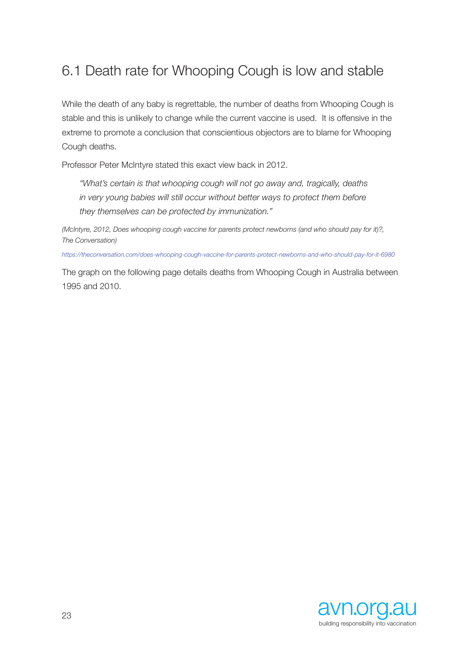## 6.1 Death rate for Whooping Cough is low and stable

While the death of any baby is regrettable, the number of deaths from Whooping Cough is stable and this is unlikely to change while the current vaccine is used. It is offensive in the extreme to promote a conclusion that conscientious objectors are to blame for Whooping Cough deaths.

Professor Peter McIntyre stated this exact view back in 2012.

*"What's certain is that whooping cough will not go away and, tragically, deaths in very young babies will still occur without better ways to protect them before they themselves can be protected by immunization."*

*(McIntyre, 2012, Does whooping cough vaccine for parents protect newborns (and who should pay for it)?, The Conversation)*

*https://theconversation.com/does-whooping-cough-vaccine-for-parents-protect-newborns-and-who-should-pay-for-it-6980*

The graph on the following page details deaths from Whooping Cough in Australia between 1995 and 2010.

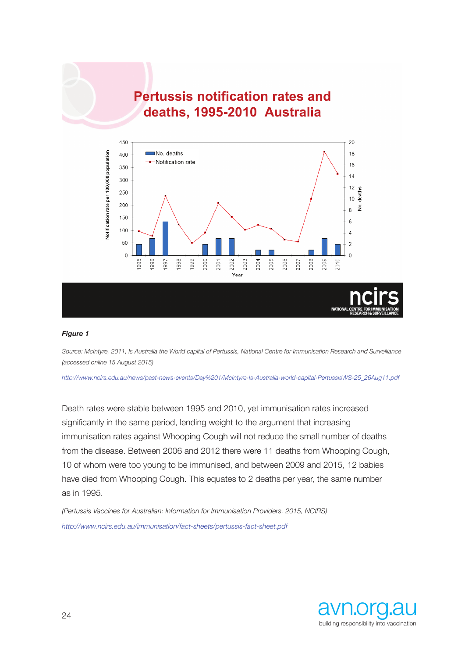

#### *Figure 1*

*Source: McIntyre, 2011, Is Australia the World capital of Pertussis, National Centre for Immunisation Research and Surveillance (accessed online 15 August 2015)* 

*http://www.ncirs.edu.au/news/past-news-events/Day%201/McIntyre-Is-Australia-world-capital-PertussisWS-25\_26Aug11.pdf*

Death rates were stable between 1995 and 2010, yet immunisation rates increased significantly in the same period, lending weight to the argument that increasing immunisation rates against Whooping Cough will not reduce the small number of deaths from the disease. Between 2006 and 2012 there were 11 deaths from Whooping Cough, 10 of whom were too young to be immunised, and between 2009 and 2015, 12 babies have died from Whooping Cough. This equates to 2 deaths per year, the same number as in 1995.

*(Pertussis Vaccines for Australian: Information for Immunisation Providers, 2015, NCIRS) http://www.ncirs.edu.au/immunisation/fact-sheets/pertussis-fact-sheet.pdf*

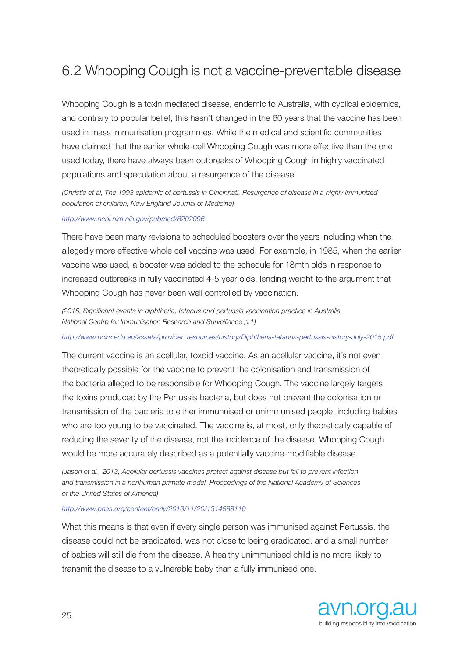## 6.2 Whooping Cough is not a vaccine-preventable disease

Whooping Cough is a toxin mediated disease, endemic to Australia, with cyclical epidemics, and contrary to popular belief, this hasn't changed in the 60 years that the vaccine has been used in mass immunisation programmes. While the medical and scientific communities have claimed that the earlier whole-cell Whooping Cough was more effective than the one used today, there have always been outbreaks of Whooping Cough in highly vaccinated populations and speculation about a resurgence of the disease.

*(Christie et al, The 1993 epidemic of pertussis in Cincinnati. Resurgence of disease in a highly immunized population of children, New England Journal of Medicine)* 

*http://www.ncbi.nlm.nih.gov/pubmed/8202096* 

There have been many revisions to scheduled boosters over the years including when the allegedly more effective whole cell vaccine was used. For example, in 1985, when the earlier vaccine was used, a booster was added to the schedule for 18mth olds in response to increased outbreaks in fully vaccinated 4-5 year olds, lending weight to the argument that Whooping Cough has never been well controlled by vaccination.

*(2015, Significant events in diphtheria, tetanus and pertussis vaccination practice in Australia, National Centre for Immunisation Research and Surveillance p.1)* 

*http://www.ncirs.edu.au/assets/provider\_resources/history/Diphtheria-tetanus-pertussis-history-July-2015.pdf* 

The current vaccine is an acellular, toxoid vaccine. As an acellular vaccine, it's not even theoretically possible for the vaccine to prevent the colonisation and transmission of the bacteria alleged to be responsible for Whooping Cough. The vaccine largely targets the toxins produced by the Pertussis bacteria, but does not prevent the colonisation or transmission of the bacteria to either immunnised or unimmunised people, including babies who are too young to be vaccinated. The vaccine is, at most, only theoretically capable of reducing the severity of the disease, not the incidence of the disease. Whooping Cough would be more accurately described as a potentially vaccine-modifiable disease.

*(Jason et al., 2013, Acellular pertussis vaccines protect against disease but fail to prevent infection and transmission in a nonhuman primate model, Proceedings of the National Academy of Sciences of the United States of America)* 

#### *http://www.pnas.org/content/early/2013/11/20/1314688110*

What this means is that even if every single person was immunised against Pertussis, the disease could not be eradicated, was not close to being eradicated, and a small number of babies will still die from the disease. A healthy unimmunised child is no more likely to transmit the disease to a vulnerable baby than a fully immunised one.

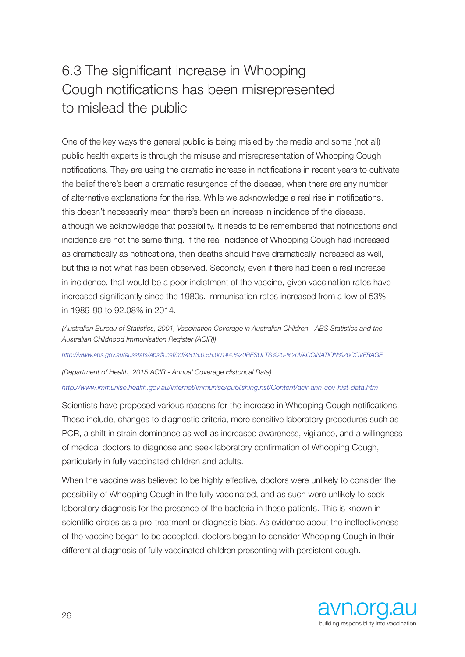# 6.3 The significant increase in Whooping Cough notifications has been misrepresented to mislead the public

One of the key ways the general public is being misled by the media and some (not all) public health experts is through the misuse and misrepresentation of Whooping Cough notifications. They are using the dramatic increase in notifications in recent years to cultivate the belief there's been a dramatic resurgence of the disease, when there are any number of alternative explanations for the rise. While we acknowledge a real rise in notifications, this doesn't necessarily mean there's been an increase in incidence of the disease, although we acknowledge that possibility. It needs to be remembered that notifications and incidence are not the same thing. If the real incidence of Whooping Cough had increased as dramatically as notifications, then deaths should have dramatically increased as well, but this is not what has been observed. Secondly, even if there had been a real increase in incidence, that would be a poor indictment of the vaccine, given vaccination rates have increased significantly since the 1980s. Immunisation rates increased from a low of 53% in 1989-90 to 92.08% in 2014.

*(Australian Bureau of Statistics, 2001, Vaccination Coverage in Australian Children - ABS Statistics and the Australian Childhood Immunisation Register (ACIR))* 

*http://www.abs.gov.au/ausstats/abs@.nsf/mf/4813.0.55.001#4.%20RESULTS%20-%20VACCINATION%20COVERAGE* 

*(Department of Health, 2015 ACIR - Annual Coverage Historical Data)* 

#### *http://www.immunise.health.gov.au/internet/immunise/publishing.nsf/Content/acir-ann-cov-hist-data.htm*

Scientists have proposed various reasons for the increase in Whooping Cough notifications. These include, changes to diagnostic criteria, more sensitive laboratory procedures such as PCR, a shift in strain dominance as well as increased awareness, vigilance, and a willingness of medical doctors to diagnose and seek laboratory confirmation of Whooping Cough, particularly in fully vaccinated children and adults.

When the vaccine was believed to be highly effective, doctors were unlikely to consider the possibility of Whooping Cough in the fully vaccinated, and as such were unlikely to seek laboratory diagnosis for the presence of the bacteria in these patients. This is known in scientific circles as a pro-treatment or diagnosis bias. As evidence about the ineffectiveness of the vaccine began to be accepted, doctors began to consider Whooping Cough in their differential diagnosis of fully vaccinated children presenting with persistent cough.

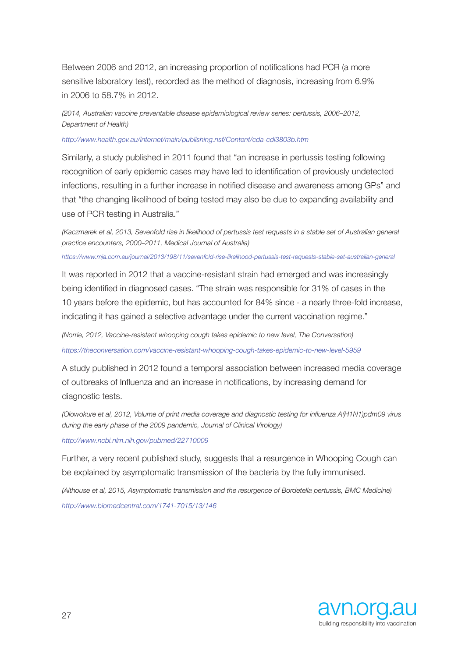Between 2006 and 2012, an increasing proportion of notifications had PCR (a more sensitive laboratory test), recorded as the method of diagnosis, increasing from 6.9% in 2006 to 58.7% in 2012.

*(2014, Australian vaccine preventable disease epidemiological review series: pertussis, 2006–2012, Department of Health)* 

*http://www.health.gov.au/internet/main/publishing.nsf/Content/cda-cdi3803b.htm* 

Similarly, a study published in 2011 found that "an increase in pertussis testing following recognition of early epidemic cases may have led to identification of previously undetected infections, resulting in a further increase in notified disease and awareness among GPs" and that "the changing likelihood of being tested may also be due to expanding availability and use of PCR testing in Australia."

*(Kaczmarek et al, 2013, Sevenfold rise in likelihood of pertussis test requests in a stable set of Australian general practice encounters, 2000–2011, Medical Journal of Australia)* 

*https://www.mja.com.au/journal/2013/198/11/sevenfold-rise-likelihood-pertussis-test-requests-stable-set-australian-general* 

It was reported in 2012 that a vaccine-resistant strain had emerged and was increasingly being identified in diagnosed cases. "The strain was responsible for 31% of cases in the 10 years before the epidemic, but has accounted for 84% since - a nearly three-fold increase, indicating it has gained a selective advantage under the current vaccination regime."

*(Norrie, 2012, Vaccine-resistant whooping cough takes epidemic to new level, The Conversation) https://theconversation.com/vaccine-resistant-whooping-cough-takes-epidemic-to-new-level-5959* 

A study published in 2012 found a temporal association between increased media coverage of outbreaks of Influenza and an increase in notifications, by increasing demand for diagnostic tests.

*(Olowokure et al, 2012, Volume of print media coverage and diagnostic testing for influenza A(H1N1)pdm09 virus during the early phase of the 2009 pandemic, Journal of Clinical Virology)* 

*http://www.ncbi.nlm.nih.gov/pubmed/22710009* 

Further, a very recent published study, suggests that a resurgence in Whooping Cough can be explained by asymptomatic transmission of the bacteria by the fully immunised.

*(Althouse et al, 2015, Asymptomatic transmission and the resurgence of Bordetella pertussis, BMC Medicine) http://www.biomedcentral.com/1741-7015/13/146*

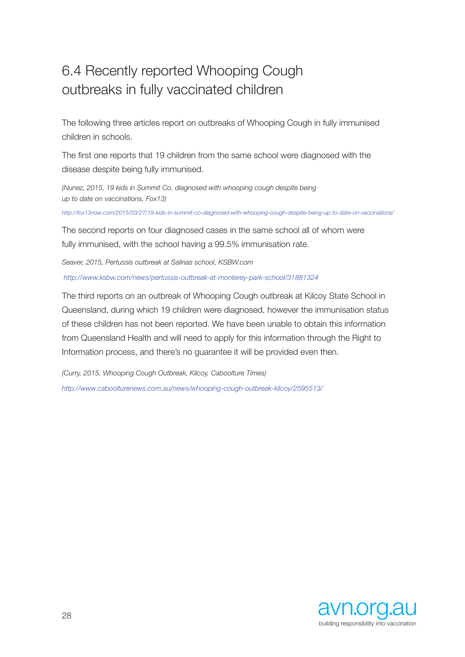## 6.4 Recently reported Whooping Cough outbreaks in fully vaccinated children

The following three articles report on outbreaks of Whooping Cough in fully immunised children in schools.

The first one reports that 19 children from the same school were diagnosed with the disease despite being fully immunised.

*(Nunez, 2015, 19 kids in Summit Co. diagnosed with whooping cough despite being up to date on vaccinations, Fox13)*

*http://fox13now.com/2015/03/27/19-kids-in-summit-co-diagnosed-with-whooping-cough-despite-being-up-to-date-on-vaccinations/*

The second reports on four diagnosed cases in the same school all of whom were fully immunised, with the school having a 99.5% immunisation rate.

*Seaver, 2015, Pertussis outbreak at Salinas school, KSBW.com http://www.ksbw.com/news/pertussis-outbreak-at-monterey-park-school/31881324*

The third reports on an outbreak of Whooping Cough outbreak at Kilcoy State School in Queensland, during which 19 children were diagnosed, however the immunisation status of these children has not been reported. We have been unable to obtain this information from Queensland Health and will need to apply for this information through the Right to Information process, and there's no guarantee it will be provided even then.

*(Curry, 2015, Whooping Cough Outbreak, Kilcoy, Caboolture Times) http://www.caboolturenews.com.au/news/whooping-cough-outbreak-kilcoy/2595513/*

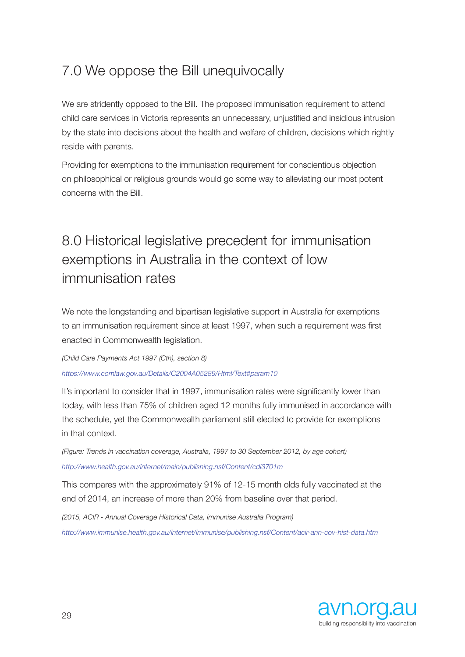## 7.0 We oppose the Bill unequivocally

We are stridently opposed to the Bill. The proposed immunisation requirement to attend child care services in Victoria represents an unnecessary, unjustified and insidious intrusion by the state into decisions about the health and welfare of children, decisions which rightly reside with parents.

Providing for exemptions to the immunisation requirement for conscientious objection on philosophical or religious grounds would go some way to alleviating our most potent concerns with the Bill.

# 8.0 Historical legislative precedent for immunisation exemptions in Australia in the context of low immunisation rates

We note the longstanding and bipartisan legislative support in Australia for exemptions to an immunisation requirement since at least 1997, when such a requirement was first enacted in Commonwealth legislation.

*(Child Care Payments Act 1997 (Cth), section 8) https://www.comlaw.gov.au/Details/C2004A05289/Html/Text#param10* 

It's important to consider that in 1997, immunisation rates were significantly lower than today, with less than 75% of children aged 12 months fully immunised in accordance with the schedule, yet the Commonwealth parliament still elected to provide for exemptions in that context.

*(Figure: Trends in vaccination coverage, Australia, 1997 to 30 September 2012, by age cohort) http://www.health.gov.au/internet/main/publishing.nsf/Content/cdi3701m* 

This compares with the approximately 91% of 12-15 month olds fully vaccinated at the end of 2014, an increase of more than 20% from baseline over that period.

*(2015, ACIR - Annual Coverage Historical Data, Immunise Australia Program) http://www.immunise.health.gov.au/internet/immunise/publishing.nsf/Content/acir-ann-cov-hist-data.htm* 

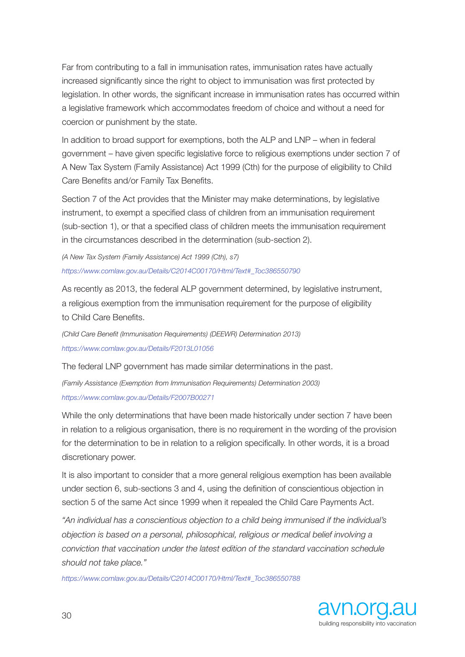Far from contributing to a fall in immunisation rates, immunisation rates have actually increased significantly since the right to object to immunisation was first protected by legislation. In other words, the significant increase in immunisation rates has occurred within a legislative framework which accommodates freedom of choice and without a need for coercion or punishment by the state.

In addition to broad support for exemptions, both the ALP and LNP – when in federal government – have given specific legislative force to religious exemptions under section 7 of A New Tax System (Family Assistance) Act 1999 (Cth) for the purpose of eligibility to Child Care Benefits and/or Family Tax Benefits.

Section 7 of the Act provides that the Minister may make determinations, by legislative instrument, to exempt a specified class of children from an immunisation requirement (sub-section 1), or that a specified class of children meets the immunisation requirement in the circumstances described in the determination (sub-section 2).

*(A New Tax System (Family Assistance) Act 1999 (Cth), s7) https://www.comlaw.gov.au/Details/C2014C00170/Html/Text#\_Toc386550790*

As recently as 2013, the federal ALP government determined, by legislative instrument, a religious exemption from the immunisation requirement for the purpose of eligibility to Child Care Benefits.

*(Child Care Benefit (Immunisation Requirements) (DEEWR) Determination 2013) https://www.comlaw.gov.au/Details/F2013L01056* 

The federal LNP government has made similar determinations in the past.

*(Family Assistance (Exemption from Immunisation Requirements) Determination 2003) https://www.comlaw.gov.au/Details/F2007B00271* 

While the only determinations that have been made historically under section 7 have been in relation to a religious organisation, there is no requirement in the wording of the provision for the determination to be in relation to a religion specifically. In other words, it is a broad discretionary power.

It is also important to consider that a more general religious exemption has been available under section 6, sub-sections 3 and 4, using the definition of conscientious objection in section 5 of the same Act since 1999 when it repealed the Child Care Payments Act.

*"An individual has a conscientious objection to a child being immunised if the individual's objection is based on a personal, philosophical, religious or medical belief involving a conviction that vaccination under the latest edition of the standard vaccination schedule should not take place."* 

*https://www.comlaw.gov.au/Details/C2014C00170/Html/Text#\_Toc386550788*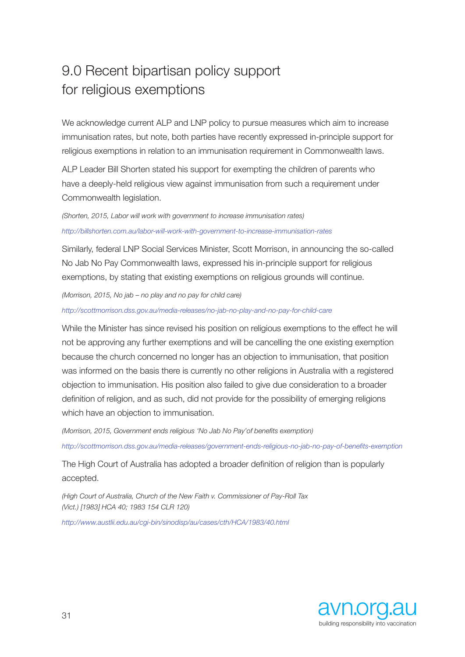## 9.0 Recent bipartisan policy support for religious exemptions

We acknowledge current ALP and LNP policy to pursue measures which aim to increase immunisation rates, but note, both parties have recently expressed in-principle support for religious exemptions in relation to an immunisation requirement in Commonwealth laws.

ALP Leader Bill Shorten stated his support for exempting the children of parents who have a deeply-held religious view against immunisation from such a requirement under Commonwealth legislation.

*(Shorten, 2015, Labor will work with government to increase immunisation rates) http://billshorten.com.au/labor-will-work-with-government-to-increase-immunisation-rates*

Similarly, federal LNP Social Services Minister, Scott Morrison, in announcing the so-called No Jab No Pay Commonwealth laws, expressed his in-principle support for religious exemptions, by stating that existing exemptions on religious grounds will continue.

*(Morrison, 2015, No jab – no play and no pay for child care)*

*http://scottmorrison.dss.gov.au/media-releases/no-jab-no-play-and-no-pay-for-child-care*

While the Minister has since revised his position on religious exemptions to the effect he will not be approving any further exemptions and will be cancelling the one existing exemption because the church concerned no longer has an objection to immunisation, that position was informed on the basis there is currently no other religions in Australia with a registered objection to immunisation. His position also failed to give due consideration to a broader definition of religion, and as such, did not provide for the possibility of emerging religions which have an objection to immunisation.

*(Morrison, 2015, Government ends religious 'No Jab No Pay'of benefits exemption) http://scottmorrison.dss.gov.au/media-releases/government-ends-religious-no-jab-no-pay-of-benefits-exemption* 

The High Court of Australia has adopted a broader definition of religion than is popularly accepted.

*(High Court of Australia, Church of the New Faith v. Commissioner of Pay-Roll Tax (Vict.) [1983] HCA 40; 1983 154 CLR 120)* 

*http://www.austlii.edu.au/cgi-bin/sinodisp/au/cases/cth/HCA/1983/40.html*

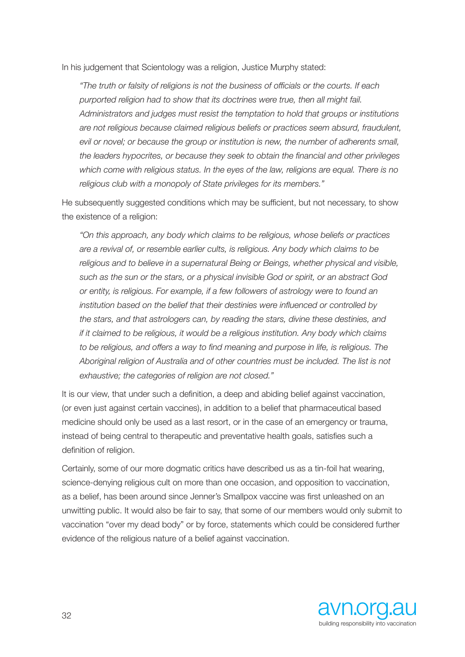In his judgement that Scientology was a religion, Justice Murphy stated:

*"The truth or falsity of religions is not the business of officials or the courts. If each purported religion had to show that its doctrines were true, then all might fail. Administrators and judges must resist the temptation to hold that groups or institutions are not religious because claimed religious beliefs or practices seem absurd, fraudulent, evil or novel; or because the group or institution is new, the number of adherents small, the leaders hypocrites, or because they seek to obtain the financial and other privileges which come with religious status. In the eyes of the law, religions are equal. There is no religious club with a monopoly of State privileges for its members."* 

He subsequently suggested conditions which may be sufficient, but not necessary, to show the existence of a religion:

*"On this approach, any body which claims to be religious, whose beliefs or practices are a revival of, or resemble earlier cults, is religious. Any body which claims to be religious and to believe in a supernatural Being or Beings, whether physical and visible, such as the sun or the stars, or a physical invisible God or spirit, or an abstract God or entity, is religious. For example, if a few followers of astrology were to found an institution based on the belief that their destinies were influenced or controlled by the stars, and that astrologers can, by reading the stars, divine these destinies, and if it claimed to be religious, it would be a religious institution. Any body which claims to be religious, and offers a way to find meaning and purpose in life, is religious. The Aboriginal religion of Australia and of other countries must be included. The list is not exhaustive; the categories of religion are not closed."*

It is our view, that under such a definition, a deep and abiding belief against vaccination, (or even just against certain vaccines), in addition to a belief that pharmaceutical based medicine should only be used as a last resort, or in the case of an emergency or trauma, instead of being central to therapeutic and preventative health goals, satisfies such a definition of religion.

Certainly, some of our more dogmatic critics have described us as a tin-foil hat wearing, science-denying religious cult on more than one occasion, and opposition to vaccination, as a belief, has been around since Jenner's Smallpox vaccine was first unleashed on an unwitting public. It would also be fair to say, that some of our members would only submit to vaccination "over my dead body" or by force, statements which could be considered further evidence of the religious nature of a belief against vaccination.

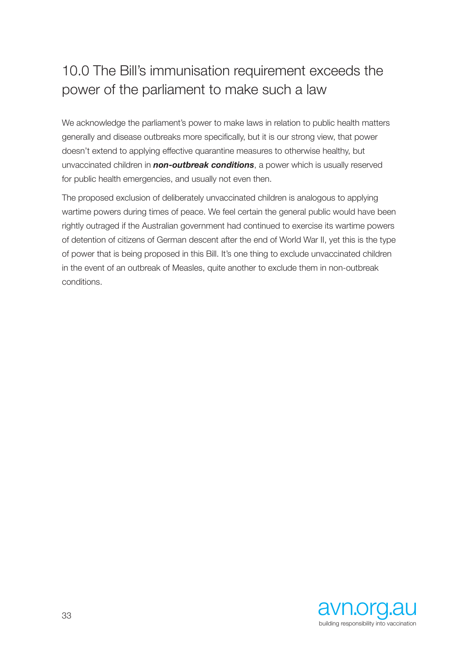# 10.0 The Bill's immunisation requirement exceeds the power of the parliament to make such a law

We acknowledge the parliament's power to make laws in relation to public health matters generally and disease outbreaks more specifically, but it is our strong view, that power doesn't extend to applying effective quarantine measures to otherwise healthy, but unvaccinated children in *non-outbreak conditions*, a power which is usually reserved for public health emergencies, and usually not even then.

The proposed exclusion of deliberately unvaccinated children is analogous to applying wartime powers during times of peace. We feel certain the general public would have been rightly outraged if the Australian government had continued to exercise its wartime powers of detention of citizens of German descent after the end of World War II, yet this is the type of power that is being proposed in this Bill. It's one thing to exclude unvaccinated children in the event of an outbreak of Measles, quite another to exclude them in non-outbreak conditions.

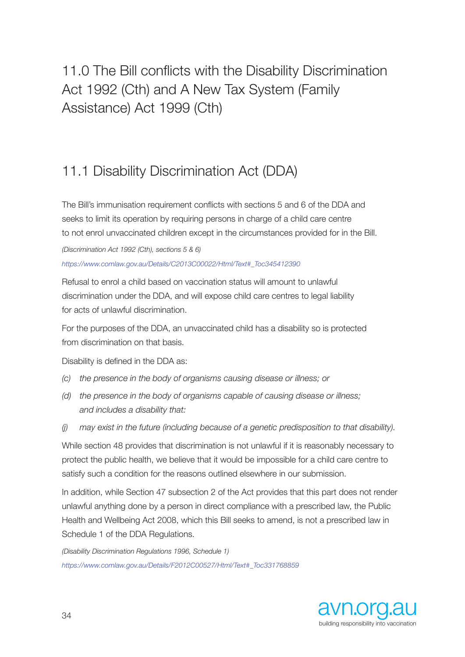# 11.0 The Bill conflicts with the Disability Discrimination Act 1992 (Cth) and A New Tax System (Family Assistance) Act 1999 (Cth)

## 11.1 Disability Discrimination Act (DDA)

The Bill's immunisation requirement conflicts with sections 5 and 6 of the DDA and seeks to limit its operation by requiring persons in charge of a child care centre to not enrol unvaccinated children except in the circumstances provided for in the Bill.

*(Discrimination Act 1992 (Cth), sections 5 & 6) https://www.comlaw.gov.au/Details/C2013C00022/Html/Text#\_Toc345412390*

Refusal to enrol a child based on vaccination status will amount to unlawful discrimination under the DDA, and will expose child care centres to legal liability for acts of unlawful discrimination.

For the purposes of the DDA, an unvaccinated child has a disability so is protected from discrimination on that basis.

Disability is defined in the DDA as:

- *(c) the presence in the body of organisms causing disease or illness; or*
- *(d) the presence in the body of organisms capable of causing disease or illness; and includes a disability that:*
- *(j) may exist in the future (including because of a genetic predisposition to that disability).*

While section 48 provides that discrimination is not unlawful if it is reasonably necessary to protect the public health, we believe that it would be impossible for a child care centre to satisfy such a condition for the reasons outlined elsewhere in our submission.

In addition, while Section 47 subsection 2 of the Act provides that this part does not render unlawful anything done by a person in direct compliance with a prescribed law, the Public Health and Wellbeing Act 2008, which this Bill seeks to amend, is not a prescribed law in Schedule 1 of the DDA Regulations.

*(Disability Discrimination Regulations 1996, Schedule 1) https://www.comlaw.gov.au/Details/F2012C00527/Html/Text#\_Toc331768859* 

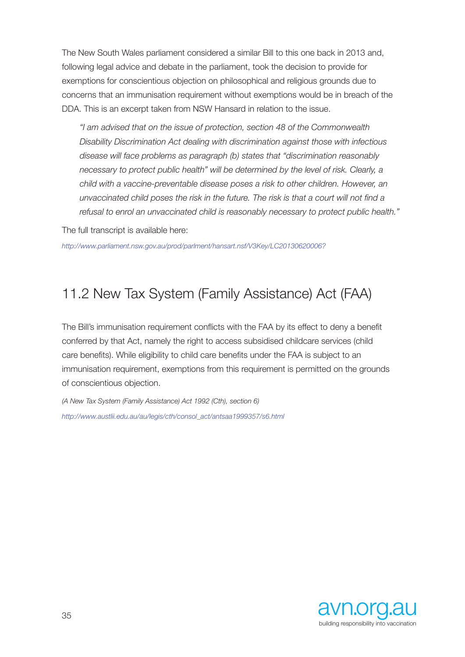The New South Wales parliament considered a similar Bill to this one back in 2013 and, following legal advice and debate in the parliament, took the decision to provide for exemptions for conscientious objection on philosophical and religious grounds due to concerns that an immunisation requirement without exemptions would be in breach of the DDA. This is an excerpt taken from NSW Hansard in relation to the issue.

*"I am advised that on the issue of protection, section 48 of the Commonwealth Disability Discrimination Act dealing with discrimination against those with infectious disease will face problems as paragraph (b) states that "discrimination reasonably necessary to protect public health" will be determined by the level of risk. Clearly, a child with a vaccine-preventable disease poses a risk to other children. However, an unvaccinated child poses the risk in the future. The risk is that a court will not find a refusal to enrol an unvaccinated child is reasonably necessary to protect public health."*

The full transcript is available here:

*http://www.parliament.nsw.gov.au/prod/parlment/hansart.nsf/V3Key/LC20130620006?*

### 11.2 New Tax System (Family Assistance) Act (FAA)

The Bill's immunisation requirement conflicts with the FAA by its effect to deny a benefit conferred by that Act, namely the right to access subsidised childcare services (child care benefits). While eligibility to child care benefits under the FAA is subject to an immunisation requirement, exemptions from this requirement is permitted on the grounds of conscientious objection.

*(A New Tax System (Family Assistance) Act 1992 (Cth), section 6) http://www.austlii.edu.au/au/legis/cth/consol\_act/antsaa1999357/s6.html*

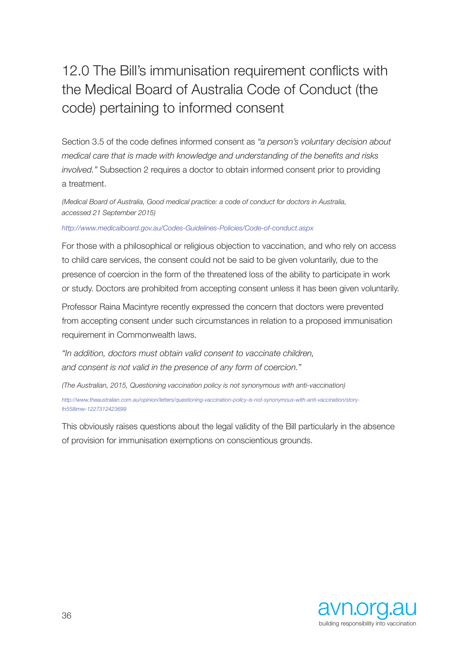# 12.0 The Bill's immunisation requirement conflicts with the Medical Board of Australia Code of Conduct (the code) pertaining to informed consent

Section 3.5 of the code defines informed consent as *"a person's voluntary decision about medical care that is made with knowledge and understanding of the benefits and risks involved."* Subsection 2 requires a doctor to obtain informed consent prior to providing a treatment.

*(Medical Board of Australia, Good medical practice: a code of conduct for doctors in Australia, accessed 21 September 2015)* 

### *http://www.medicalboard.gov.au/Codes-Guidelines-Policies/Code-of-conduct.aspx*

For those with a philosophical or religious objection to vaccination, and who rely on access to child care services, the consent could not be said to be given voluntarily, due to the presence of coercion in the form of the threatened loss of the ability to participate in work or study. Doctors are prohibited from accepting consent unless it has been given voluntarily.

Professor Raina Macintyre recently expressed the concern that doctors were prevented from accepting consent under such circumstances in relation to a proposed immunisation requirement in Commonwealth laws.

*"In addition, doctors must obtain valid consent to vaccinate children, and consent is not valid in the presence of any form of coercion."* 

*(The Australian, 2015, Questioning vaccination policy is not synonymous with anti-vaccination) http://www.theaustralian.com.au/opinion/letters/questioning-vaccination-policy-is-not-synonymous-with-anti-vaccination/storyfn558imw-1227312423699* 

This obviously raises questions about the legal validity of the Bill particularly in the absence of provision for immunisation exemptions on conscientious grounds.

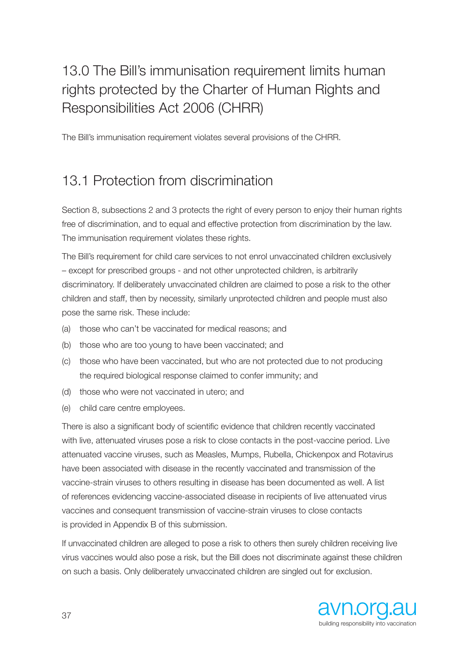# 13.0 The Bill's immunisation requirement limits human rights protected by the Charter of Human Rights and Responsibilities Act 2006 (CHRR)

The Bill's immunisation requirement violates several provisions of the CHRR.

## 13.1 Protection from discrimination

Section 8, subsections 2 and 3 protects the right of every person to enjoy their human rights free of discrimination, and to equal and effective protection from discrimination by the law. The immunisation requirement violates these rights.

The Bill's requirement for child care services to not enrol unvaccinated children exclusively – except for prescribed groups - and not other unprotected children, is arbitrarily discriminatory. If deliberately unvaccinated children are claimed to pose a risk to the other children and staff, then by necessity, similarly unprotected children and people must also pose the same risk. These include:

- (a) those who can't be vaccinated for medical reasons; and
- (b) those who are too young to have been vaccinated; and
- (c) those who have been vaccinated, but who are not protected due to not producing the required biological response claimed to confer immunity; and
- (d) those who were not vaccinated in utero; and
- (e) child care centre employees.

There is also a significant body of scientific evidence that children recently vaccinated with live, attenuated viruses pose a risk to close contacts in the post-vaccine period. Live attenuated vaccine viruses, such as Measles, Mumps, Rubella, Chickenpox and Rotavirus have been associated with disease in the recently vaccinated and transmission of the vaccine-strain viruses to others resulting in disease has been documented as well. A list of references evidencing vaccine-associated disease in recipients of live attenuated virus vaccines and consequent transmission of vaccine-strain viruses to close contacts is provided in Appendix B of this submission.

If unvaccinated children are alleged to pose a risk to others then surely children receiving live virus vaccines would also pose a risk, but the Bill does not discriminate against these children on such a basis. Only deliberately unvaccinated children are singled out for exclusion.

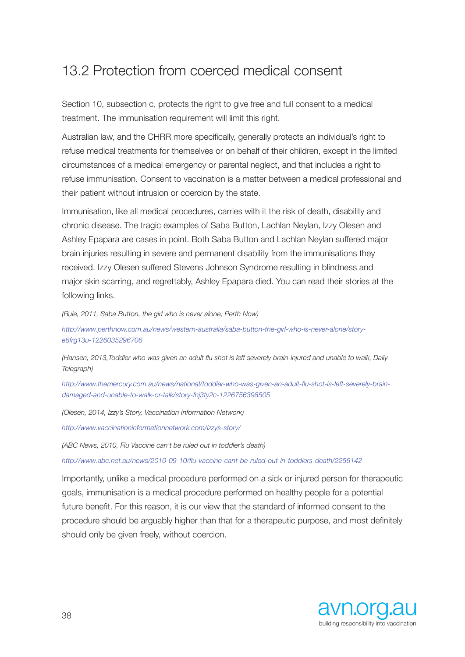## 13.2 Protection from coerced medical consent

Section 10, subsection c, protects the right to give free and full consent to a medical treatment. The immunisation requirement will limit this right.

Australian law, and the CHRR more specifically, generally protects an individual's right to refuse medical treatments for themselves or on behalf of their children, except in the limited circumstances of a medical emergency or parental neglect, and that includes a right to refuse immunisation. Consent to vaccination is a matter between a medical professional and their patient without intrusion or coercion by the state.

Immunisation, like all medical procedures, carries with it the risk of death, disability and chronic disease. The tragic examples of Saba Button, Lachlan Neylan, Izzy Olesen and Ashley Epapara are cases in point. Both Saba Button and Lachlan Neylan suffered major brain injuries resulting in severe and permanent disability from the immunisations they received. Izzy Olesen suffered Stevens Johnson Syndrome resulting in blindness and major skin scarring, and regrettably, Ashley Epapara died. You can read their stories at the following links.

*(Rule, 2011, Saba Button, the girl who is never alone, Perth Now)* 

*http://www.perthnow.com.au/news/western-australia/saba-button-the-girl-who-is-never-alone/storye6frg13u-1226035296706* 

*(Hansen, 2013,Toddler who was given an adult flu shot is left severely brain-injured and unable to walk, Daily Telegraph)* 

*http://www.themercury.com.au/news/national/toddler-who-was-given-an-adult-flu-shot-is-left-severely-braindamaged-and-unable-to-walk-or-talk/story-fnj3ty2c-1226756398505* 

*(Olesen, 2014, Izzy's Story, Vaccination Information Network)*

*http://www.vaccinationinformationnetwork.com/izzys-story/*

*(ABC News, 2010, Flu Vaccine can't be ruled out in toddler's death)* 

*http://www.abc.net.au/news/2010-09-10/flu-vaccine-cant-be-ruled-out-in-toddlers-death/2256142* 

Importantly, unlike a medical procedure performed on a sick or injured person for therapeutic goals, immunisation is a medical procedure performed on healthy people for a potential future benefit. For this reason, it is our view that the standard of informed consent to the procedure should be arguably higher than that for a therapeutic purpose, and most definitely should only be given freely, without coercion.

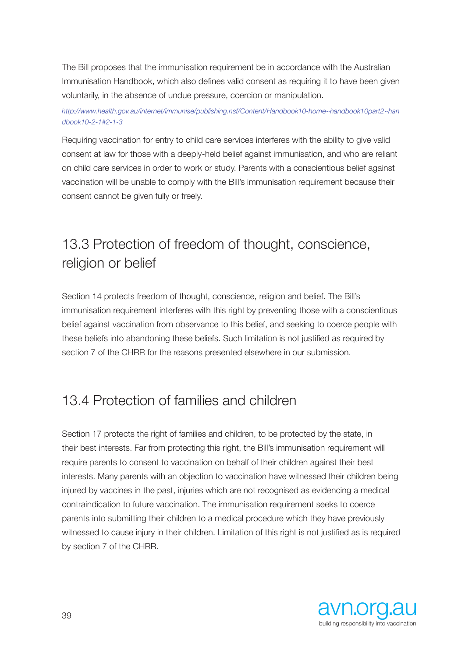The Bill proposes that the immunisation requirement be in accordance with the Australian Immunisation Handbook, which also defines valid consent as requiring it to have been given voluntarily, in the absence of undue pressure, coercion or manipulation.

### *http://www.health.gov.au/internet/immunise/publishing.nsf/Content/Handbook10-home~handbook10part2~han dbook10-2-1#2-1-3*

Requiring vaccination for entry to child care services interferes with the ability to give valid consent at law for those with a deeply-held belief against immunisation, and who are reliant on child care services in order to work or study. Parents with a conscientious belief against vaccination will be unable to comply with the Bill's immunisation requirement because their consent cannot be given fully or freely.

## 13.3 Protection of freedom of thought, conscience, religion or belief

Section 14 protects freedom of thought, conscience, religion and belief. The Bill's immunisation requirement interferes with this right by preventing those with a conscientious belief against vaccination from observance to this belief, and seeking to coerce people with these beliefs into abandoning these beliefs. Such limitation is not justified as required by section 7 of the CHRR for the reasons presented elsewhere in our submission.

## 13.4 Protection of families and children

Section 17 protects the right of families and children, to be protected by the state, in their best interests. Far from protecting this right, the Bill's immunisation requirement will require parents to consent to vaccination on behalf of their children against their best interests. Many parents with an objection to vaccination have witnessed their children being injured by vaccines in the past, injuries which are not recognised as evidencing a medical contraindication to future vaccination. The immunisation requirement seeks to coerce parents into submitting their children to a medical procedure which they have previously witnessed to cause injury in their children. Limitation of this right is not justified as is required by section 7 of the CHRR.

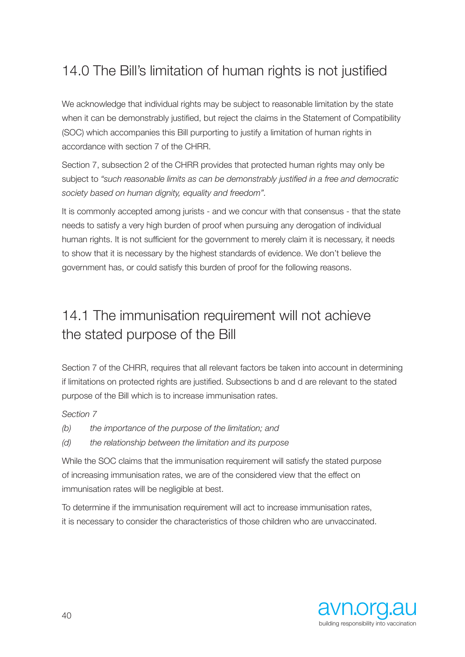## 14.0 The Bill's limitation of human rights is not justified

We acknowledge that individual rights may be subject to reasonable limitation by the state when it can be demonstrably justified, but reject the claims in the Statement of Compatibility (SOC) which accompanies this Bill purporting to justify a limitation of human rights in accordance with section 7 of the CHRR.

Section 7, subsection 2 of the CHRR provides that protected human rights may only be subject to *"such reasonable limits as can be demonstrably justified in a free and democratic society based on human dignity, equality and freedom".*

It is commonly accepted among jurists - and we concur with that consensus - that the state needs to satisfy a very high burden of proof when pursuing any derogation of individual human rights. It is not sufficient for the government to merely claim it is necessary, it needs to show that it is necessary by the highest standards of evidence. We don't believe the government has, or could satisfy this burden of proof for the following reasons.

## 14.1 The immunisation requirement will not achieve the stated purpose of the Bill

Section 7 of the CHRR, requires that all relevant factors be taken into account in determining if limitations on protected rights are justified. Subsections b and d are relevant to the stated purpose of the Bill which is to increase immunisation rates.

*Section 7* 

- *(b) the importance of the purpose of the limitation; and*
- *(d) the relationship between the limitation and its purpose*

While the SOC claims that the immunisation requirement will satisfy the stated purpose of increasing immunisation rates, we are of the considered view that the effect on immunisation rates will be negligible at best.

To determine if the immunisation requirement will act to increase immunisation rates, it is necessary to consider the characteristics of those children who are unvaccinated.

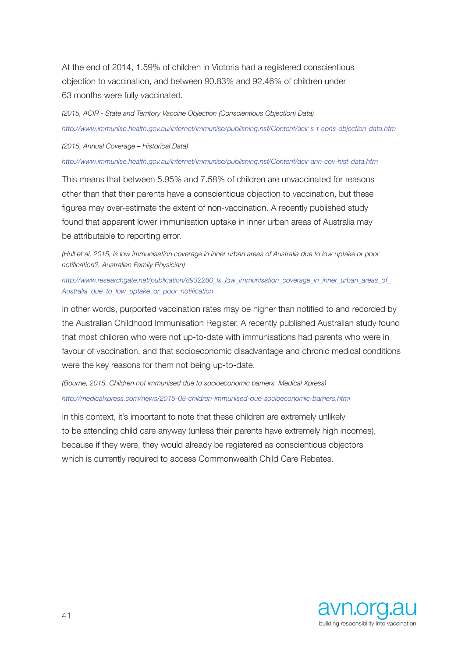At the end of 2014, 1.59% of children in Victoria had a registered conscientious objection to vaccination, and between 90.83% and 92.46% of children under 63 months were fully vaccinated.

*(2015, ACIR - State and Territory Vaccine Objection (Conscientious Objection) Data) http://www.immunise.health.gov.au/internet/immunise/publishing.nsf/Content/acir-s-t-cons-objection-data.htm*

*(2015, Annual Coverage – Historical Data)* 

*http://www.immunise.health.gov.au/internet/immunise/publishing.nsf/Content/acir-ann-cov-hist-data.htm* 

This means that between 5.95% and 7.58% of children are unvaccinated for reasons other than that their parents have a conscientious objection to vaccination, but these figures may over-estimate the extent of non-vaccination. A recently published study found that apparent lower immunisation uptake in inner urban areas of Australia may be attributable to reporting error.

*(Hull et al, 2015, Is low immunisation coverage in inner urban areas of Australia due to low uptake or poor notification?, Australian Family Physician)* 

*http://www.researchgate.net/publication/8932280\_Is\_low\_immunisation\_coverage\_in\_inner\_urban\_areas\_of\_ Australia\_due\_to\_low\_uptake\_or\_poor\_notification* 

In other words, purported vaccination rates may be higher than notified to and recorded by the Australian Childhood Immunisation Register. A recently published Australian study found that most children who were not up-to-date with immunisations had parents who were in favour of vaccination, and that socioeconomic disadvantage and chronic medical conditions were the key reasons for them not being up-to-date.

*(Bourne, 2015, Children not immunised due to socioeconomic barriers, Medical Xpress) http://medicalxpress.com/news/2015-08-children-immunised-due-socioeconomic-barriers.html* 

In this context, it's important to note that these children are extremely unlikely to be attending child care anyway (unless their parents have extremely high incomes), because if they were, they would already be registered as conscientious objectors which is currently required to access Commonwealth Child Care Rebates.

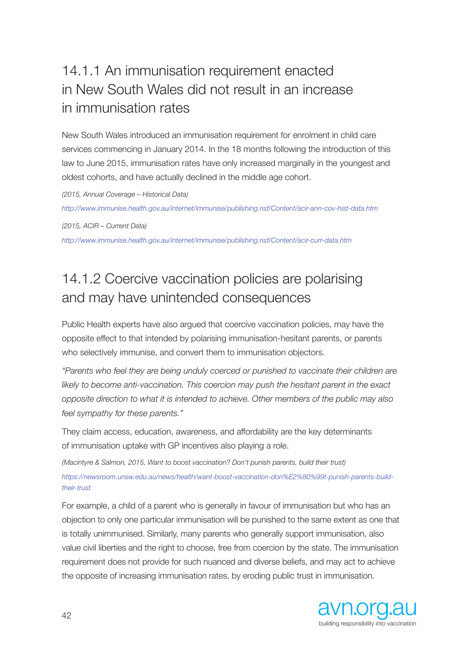# 14.1.1 An immunisation requirement enacted in New South Wales did not result in an increase in immunisation rates

New South Wales introduced an immunisation requirement for enrolment in child care services commencing in January 2014. In the 18 months following the introduction of this law to June 2015, immunisation rates have only increased marginally in the youngest and oldest cohorts, and have actually declined in the middle age cohort.

*(2015, Annual Coverage – Historical Data)* 

*http://www.immunise.health.gov.au/internet/immunise/publishing.nsf/Content/acir-ann-cov-hist-data.htm* 

*(2015, ACIR – Current Data)* 

*http://www.immunise.health.gov.au/internet/immunise/publishing.nsf/Content/acir-curr-data.htm* 

# 14.1.2 Coercive vaccination policies are polarising and may have unintended consequences

Public Health experts have also argued that coercive vaccination policies, may have the opposite effect to that intended by polarising immunisation-hesitant parents, or parents who selectively immunise, and convert them to immunisation objectors.

*"Parents who feel they are being unduly coerced or punished to vaccinate their children are likely to become anti-vaccination. This coercion may push the hesitant parent in the exact opposite direction to what it is intended to achieve. Other members of the public may also feel sympathy for these parents."* 

They claim access, education, awareness, and affordability are the key determinants of immunisation uptake with GP incentives also playing a role.

*(Macintyre & Salmon, 2015, Want to boost vaccination? Don't punish parents, build their trust) https://newsroom.unsw.edu.au/news/health/want-boost-vaccination-don%E2%80%99t-punish-parents-buildtheir-trust* 

For example, a child of a parent who is generally in favour of immunisation but who has an objection to only one particular immunisation will be punished to the same extent as one that is totally unimmunised. Similarly, many parents who generally support immunisation, also value civil liberties and the right to choose, free from coercion by the state. The immunisation requirement does not provide for such nuanced and diverse beliefs, and may act to achieve the opposite of increasing immunisation rates. by eroding public trust in immunisation.

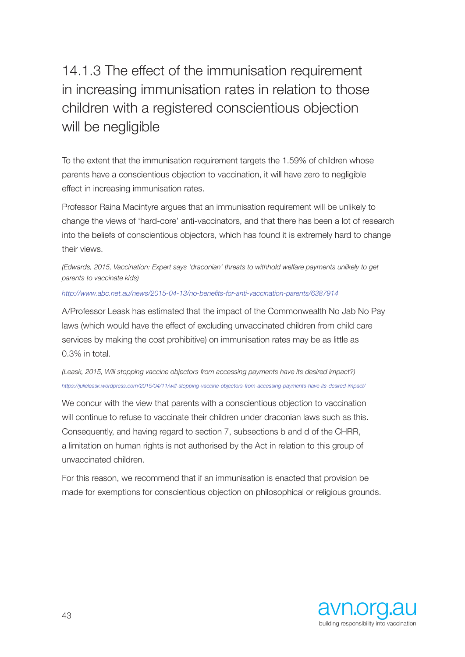# 14.1.3 The effect of the immunisation requirement in increasing immunisation rates in relation to those children with a registered conscientious objection will be negligible

To the extent that the immunisation requirement targets the 1.59% of children whose parents have a conscientious objection to vaccination, it will have zero to negligible effect in increasing immunisation rates.

Professor Raina Macintyre argues that an immunisation requirement will be unlikely to change the views of 'hard-core' anti-vaccinators, and that there has been a lot of research into the beliefs of conscientious objectors, which has found it is extremely hard to change their views.

*(Edwards, 2015, Vaccination: Expert says 'draconian' threats to withhold welfare payments unlikely to get parents to vaccinate kids)* 

#### *http://www.abc.net.au/news/2015-04-13/no-benefits-for-anti-vaccination-parents/6387914*

A/Professor Leask has estimated that the impact of the Commonwealth No Jab No Pay laws (which would have the effect of excluding unvaccinated children from child care services by making the cost prohibitive) on immunisation rates may be as little as 0.3% in total.

*(Leask, 2015, Will stopping vaccine objectors from accessing payments have its desired impact?) https://julieleask.wordpress.com/2015/04/11/will-stopping-vaccine-objectors-from-accessing-payments-have-its-desired-impact/* 

We concur with the view that parents with a conscientious objection to vaccination will continue to refuse to vaccinate their children under draconian laws such as this. Consequently, and having regard to section 7, subsections b and d of the CHRR, a limitation on human rights is not authorised by the Act in relation to this group of unvaccinated children.

For this reason, we recommend that if an immunisation is enacted that provision be made for exemptions for conscientious objection on philosophical or religious grounds.

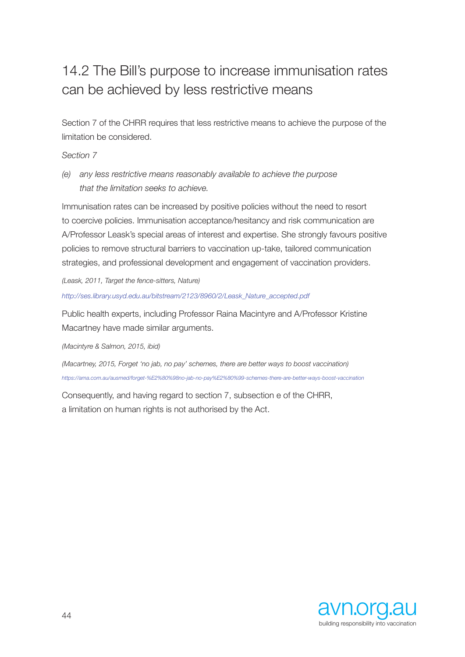## 14.2 The Bill's purpose to increase immunisation rates can be achieved by less restrictive means

Section 7 of the CHRR requires that less restrictive means to achieve the purpose of the limitation be considered.

*Section 7* 

*(e) any less restrictive means reasonably available to achieve the purpose that the limitation seeks to achieve.* 

Immunisation rates can be increased by positive policies without the need to resort to coercive policies. Immunisation acceptance/hesitancy and risk communication are A/Professor Leask's special areas of interest and expertise. She strongly favours positive policies to remove structural barriers to vaccination up-take, tailored communication strategies, and professional development and engagement of vaccination providers.

*(Leask, 2011, Target the fence-sitters, Nature)* 

*http://ses.library.usyd.edu.au/bitstream/2123/8960/2/Leask\_Nature\_accepted.pdf* 

Public health experts, including Professor Raina Macintyre and A/Professor Kristine Macartney have made similar arguments.

*(Macintyre & Salmon, 2015, ibid)* 

*(Macartney, 2015, Forget 'no jab, no pay' schemes, there are better ways to boost vaccination) https://ama.com.au/ausmed/forget-%E2%80%98no-jab-no-pay%E2%80%99-schemes-there-are-better-ways-boost-vaccination* 

Consequently, and having regard to section 7, subsection e of the CHRR, a limitation on human rights is not authorised by the Act.

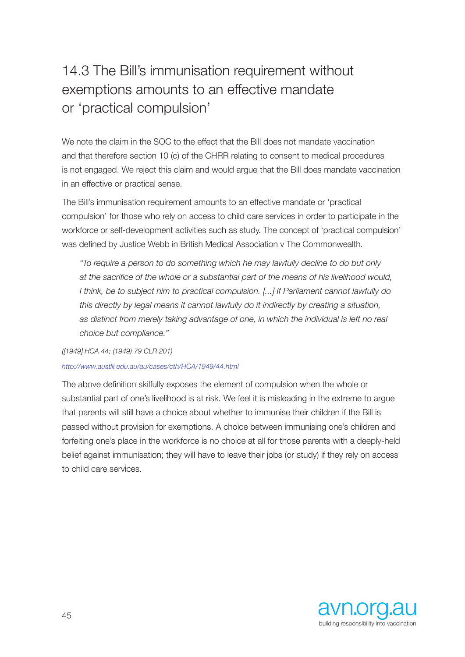# 14.3 The Bill's immunisation requirement without exemptions amounts to an effective mandate or 'practical compulsion'

We note the claim in the SOC to the effect that the Bill does not mandate vaccination and that therefore section 10 (c) of the CHRR relating to consent to medical procedures is not engaged. We reject this claim and would argue that the Bill does mandate vaccination in an effective or practical sense.

The Bill's immunisation requirement amounts to an effective mandate or 'practical compulsion' for those who rely on access to child care services in order to participate in the workforce or self-development activities such as study. The concept of 'practical compulsion' was defined by Justice Webb in British Medical Association v The Commonwealth.

*"To require a person to do something which he may lawfully decline to do but only at the sacrifice of the whole or a substantial part of the means of his livelihood would, I think, be to subject him to practical compulsion. [...] If Parliament cannot lawfully do this directly by legal means it cannot lawfully do it indirectly by creating a situation, as distinct from merely taking advantage of one, in which the individual is left no real choice but compliance."* 

*([1949] HCA 44; (1949) 79 CLR 201)* 

### *http://www.austlii.edu.au/au/cases/cth/HCA/1949/44.html*

The above definition skilfully exposes the element of compulsion when the whole or substantial part of one's livelihood is at risk. We feel it is misleading in the extreme to argue that parents will still have a choice about whether to immunise their children if the Bill is passed without provision for exemptions. A choice between immunising one's children and forfeiting one's place in the workforce is no choice at all for those parents with a deeply-held belief against immunisation; they will have to leave their jobs (or study) if they rely on access to child care services.

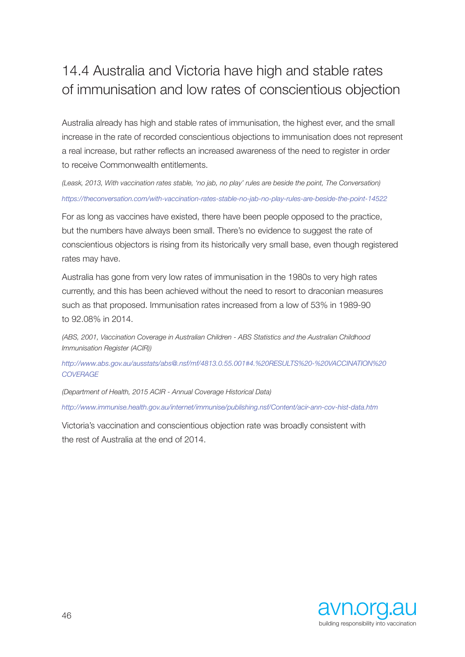## 14.4 Australia and Victoria have high and stable rates of immunisation and low rates of conscientious objection

Australia already has high and stable rates of immunisation, the highest ever, and the small increase in the rate of recorded conscientious objections to immunisation does not represent a real increase, but rather reflects an increased awareness of the need to register in order to receive Commonwealth entitlements.

*(Leask, 2013, With vaccination rates stable, 'no jab, no play' rules are beside the point, The Conversation) https://theconversation.com/with-vaccination-rates-stable-no-jab-no-play-rules-are-beside-the-point-14522* 

For as long as vaccines have existed, there have been people opposed to the practice, but the numbers have always been small. There's no evidence to suggest the rate of conscientious objectors is rising from its historically very small base, even though registered rates may have.

Australia has gone from very low rates of immunisation in the 1980s to very high rates currently, and this has been achieved without the need to resort to draconian measures such as that proposed. Immunisation rates increased from a low of 53% in 1989-90 to 92.08% in 2014.

*(ABS, 2001, Vaccination Coverage in Australian Children - ABS Statistics and the Australian Childhood Immunisation Register (ACIR))* 

*http://www.abs.gov.au/ausstats/abs@.nsf/mf/4813.0.55.001#4.%20RESULTS%20-%20VACCINATION%20 COVERAGE* 

*(Department of Health, 2015 ACIR - Annual Coverage Historical Data)* 

*http://www.immunise.health.gov.au/internet/immunise/publishing.nsf/Content/acir-ann-cov-hist-data.htm* 

Victoria's vaccination and conscientious objection rate was broadly consistent with the rest of Australia at the end of 2014.

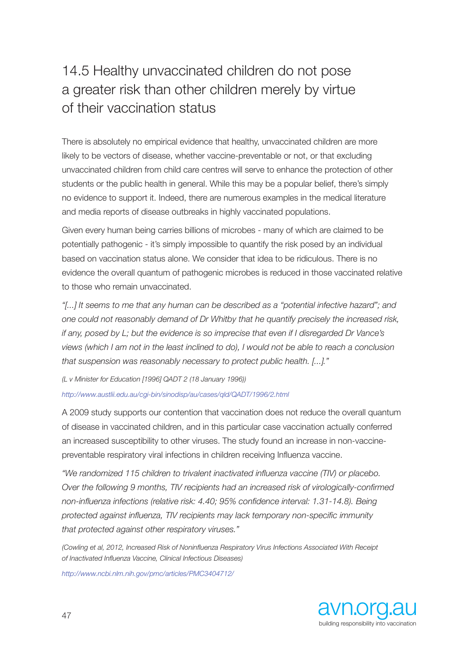## 14.5 Healthy unvaccinated children do not pose a greater risk than other children merely by virtue of their vaccination status

There is absolutely no empirical evidence that healthy, unvaccinated children are more likely to be vectors of disease, whether vaccine-preventable or not, or that excluding unvaccinated children from child care centres will serve to enhance the protection of other students or the public health in general. While this may be a popular belief, there's simply no evidence to support it. Indeed, there are numerous examples in the medical literature and media reports of disease outbreaks in highly vaccinated populations.

Given every human being carries billions of microbes - many of which are claimed to be potentially pathogenic - it's simply impossible to quantify the risk posed by an individual based on vaccination status alone. We consider that idea to be ridiculous. There is no evidence the overall quantum of pathogenic microbes is reduced in those vaccinated relative to those who remain unvaccinated.

*"[...] It seems to me that any human can be described as a "potential infective hazard"; and one could not reasonably demand of Dr Whitby that he quantify precisely the increased risk, if any, posed by L; but the evidence is so imprecise that even if I disregarded Dr Vance's views (which I am not in the least inclined to do), I would not be able to reach a conclusion that suspension was reasonably necessary to protect public health. [...]."* 

*(L v Minister for Education [1996] QADT 2 (18 January 1996))*

### *http://www.austlii.edu.au/cgi-bin/sinodisp/au/cases/qld/QADT/1996/2.html*

A 2009 study supports our contention that vaccination does not reduce the overall quantum of disease in vaccinated children, and in this particular case vaccination actually conferred an increased susceptibility to other viruses. The study found an increase in non-vaccinepreventable respiratory viral infections in children receiving Influenza vaccine.

*"We randomized 115 children to trivalent inactivated influenza vaccine (TIV) or placebo. Over the following 9 months, TIV recipients had an increased risk of virologically-confirmed non-influenza infections (relative risk: 4.40; 95% confidence interval: 1.31-14.8). Being protected against influenza, TIV recipients may lack temporary non-specific immunity that protected against other respiratory viruses."* 

*(Cowling et al, 2012, Increased Risk of Noninfluenza Respiratory Virus Infections Associated With Receipt of Inactivated Influenza Vaccine, Clinical Infectious Diseases)*

*http://www.ncbi.nlm.nih.gov/pmc/articles/PMC3404712/*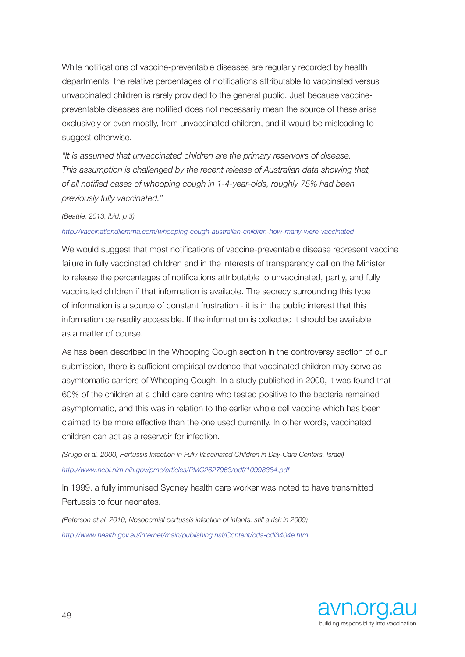While notifications of vaccine-preventable diseases are regularly recorded by health departments, the relative percentages of notifications attributable to vaccinated versus unvaccinated children is rarely provided to the general public. Just because vaccinepreventable diseases are notified does not necessarily mean the source of these arise exclusively or even mostly, from unvaccinated children, and it would be misleading to suggest otherwise.

*"It is assumed that unvaccinated children are the primary reservoirs of disease. This assumption is challenged by the recent release of Australian data showing that, of all notified cases of whooping cough in 1-4-year-olds, roughly 75% had been previously fully vaccinated."* 

#### *(Beattie, 2013, ibid. p 3)*

#### *http://vaccinationdilemma.com/whooping-cough-australian-children-how-many-were-vaccinated*

We would suggest that most notifications of vaccine-preventable disease represent vaccine failure in fully vaccinated children and in the interests of transparency call on the Minister to release the percentages of notifications attributable to unvaccinated, partly, and fully vaccinated children if that information is available. The secrecy surrounding this type of information is a source of constant frustration - it is in the public interest that this information be readily accessible. If the information is collected it should be available as a matter of course.

As has been described in the Whooping Cough section in the controversy section of our submission, there is sufficient empirical evidence that vaccinated children may serve as asymtomatic carriers of Whooping Cough. In a study published in 2000, it was found that 60% of the children at a child care centre who tested positive to the bacteria remained asymptomatic, and this was in relation to the earlier whole cell vaccine which has been claimed to be more effective than the one used currently. In other words, vaccinated children can act as a reservoir for infection.

*(Srugo et al. 2000, Pertussis Infection in Fully Vaccinated Children in Day-Care Centers, Israel) http://www.ncbi.nlm.nih.gov/pmc/articles/PMC2627963/pdf/10998384.pdf* 

In 1999, a fully immunised Sydney health care worker was noted to have transmitted Pertussis to four neonates.

*(Peterson et al, 2010, Nosocomial pertussis infection of infants: still a risk in 2009) http://www.health.gov.au/internet/main/publishing.nsf/Content/cda-cdi3404e.htm*

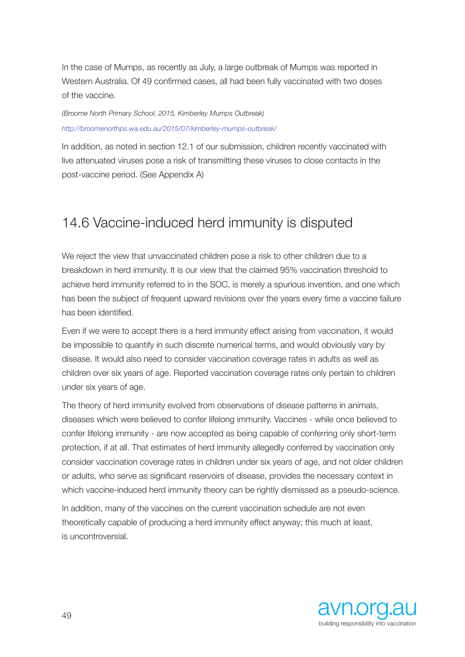In the case of Mumps, as recently as July, a large outbreak of Mumps was reported in Western Australia. Of 49 confirmed cases, all had been fully vaccinated with two doses of the vaccine.

*(Broome North Primary School, 2015, Kimberley Mumps Outbreak) http://broomenorthps.wa.edu.au/2015/07/kimberley-mumps-outbreak/* 

In addition, as noted in section 12.1 of our submission, children recently vaccinated with live attenuated viruses pose a risk of transmitting these viruses to close contacts in the post-vaccine period. (See Appendix A)

## 14.6 Vaccine-induced herd immunity is disputed

We reject the view that unvaccinated children pose a risk to other children due to a breakdown in herd immunity. It is our view that the claimed 95% vaccination threshold to achieve herd immunity referred to in the SOC, is merely a spurious invention, and one which has been the subject of frequent upward revisions over the years every time a vaccine failure has been identified.

Even if we were to accept there is a herd immunity effect arising from vaccination, it would be impossible to quantify in such discrete numerical terms, and would obviously vary by disease. It would also need to consider vaccination coverage rates in adults as well as children over six years of age. Reported vaccination coverage rates only pertain to children under six years of age.

The theory of herd immunity evolved from observations of disease patterns in animals, diseases which were believed to confer lifelong immunity. Vaccines - while once believed to confer lifelong immunity - are now accepted as being capable of conferring only short-term protection, if at all. That estimates of herd immunity allegedly conferred by vaccination only consider vaccination coverage rates in children under six years of age, and not older children or adults, who serve as significant reservoirs of disease, provides the necessary context in which vaccine-induced herd immunity theory can be rightly dismissed as a pseudo-science.

In addition, many of the vaccines on the current vaccination schedule are not even theoretically capable of producing a herd immunity effect anyway; this much at least, is uncontroversial.

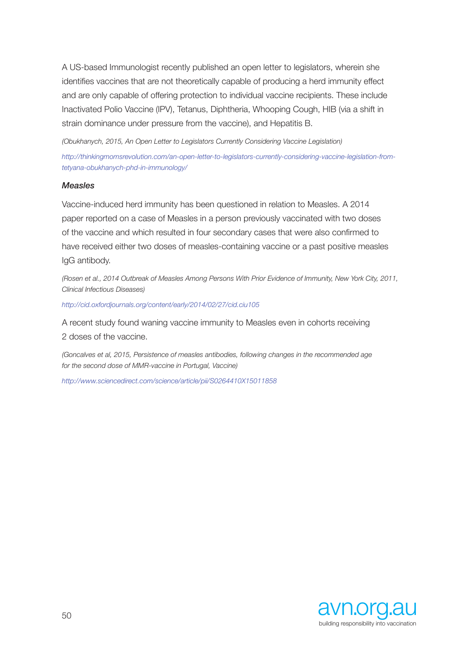A US-based Immunologist recently published an open letter to legislators, wherein she identifies vaccines that are not theoretically capable of producing a herd immunity effect and are only capable of offering protection to individual vaccine recipients. These include Inactivated Polio Vaccine (IPV), Tetanus, Diphtheria, Whooping Cough, HIB (via a shift in strain dominance under pressure from the vaccine), and Hepatitis B.

*(Obukhanych, 2015, An Open Letter to Legislators Currently Considering Vaccine Legislation)* 

*http://thinkingmomsrevolution.com/an-open-letter-to-legislators-currently-considering-vaccine-legislation-fromtetyana-obukhanych-phd-in-immunology/* 

#### *Measles*

Vaccine-induced herd immunity has been questioned in relation to Measles. A 2014 paper reported on a case of Measles in a person previously vaccinated with two doses of the vaccine and which resulted in four secondary cases that were also confirmed to have received either two doses of measles-containing vaccine or a past positive measles IgG antibody.

*(Rosen et al., 2014 Outbreak of Measles Among Persons With Prior Evidence of Immunity, New York City, 2011, Clinical Infectious Diseases)* 

*http://cid.oxfordjournals.org/content/early/2014/02/27/cid.ciu105*

A recent study found waning vaccine immunity to Measles even in cohorts receiving 2 doses of the vaccine.

*(Goncalves et al, 2015, Persistence of measles antibodies, following changes in the recommended age for the second dose of MMR-vaccine in Portugal, Vaccine)* 

*http://www.sciencedirect.com/science/article/pii/S0264410X15011858* 

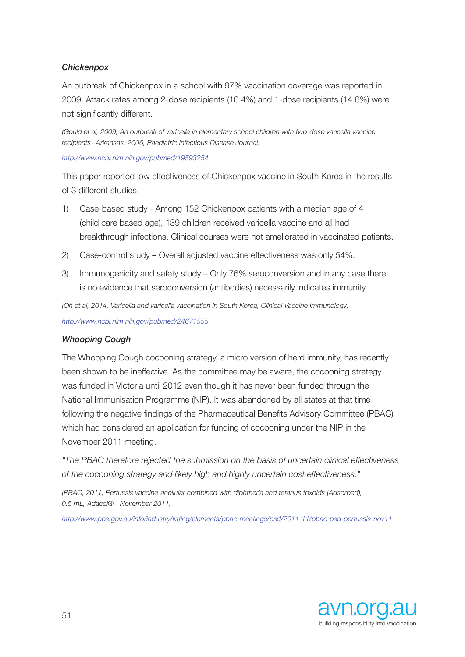### *Chickenpox*

An outbreak of Chickenpox in a school with 97% vaccination coverage was reported in 2009. Attack rates among 2-dose recipients (10.4%) and 1-dose recipients (14.6%) were not significantly different.

*(Gould et al, 2009, An outbreak of varicella in elementary school children with two-dose varicella vaccine recipients--Arkansas, 2006, Paediatric Infectious Disease Journal)* 

*http://www.ncbi.nlm.nih.gov/pubmed/19593254* 

This paper reported low effectiveness of Chickenpox vaccine in South Korea in the results of 3 different studies.

- 1) Case-based study Among 152 Chickenpox patients with a median age of 4 (child care based age), 139 children received varicella vaccine and all had breakthrough infections. Clinical courses were not ameliorated in vaccinated patients.
- 2) Case-control study Overall adjusted vaccine effectiveness was only 54%.
- 3) Immunogenicity and safety study Only 76% seroconversion and in any case there is no evidence that seroconversion (antibodies) necessarily indicates immunity.

*(Oh et al, 2014, Varicella and varicella vaccination in South Korea, Clinical Vaccine Immunology) http://www.ncbi.nlm.nih.gov/pubmed/24671555* 

### *Whooping Cough*

The Whooping Cough cocooning strategy, a micro version of herd immunity, has recently been shown to be ineffective. As the committee may be aware, the cocooning strategy was funded in Victoria until 2012 even though it has never been funded through the National Immunisation Programme (NIP). It was abandoned by all states at that time following the negative findings of the Pharmaceutical Benefits Advisory Committee (PBAC) which had considered an application for funding of cocooning under the NIP in the November 2011 meeting.

*"The PBAC therefore rejected the submission on the basis of uncertain clinical effectiveness of the cocooning strategy and likely high and highly uncertain cost effectiveness."*

*(PBAC, 2011, Pertussis vaccine-acellular combined with diphtheria and tetanus toxoids (Adsorbed), 0.5 mL, Adacel® - November 2011)*

*http://www.pbs.gov.au/info/industry/listing/elements/pbac-meetings/psd/2011-11/pbac-psd-pertussis-nov11* 

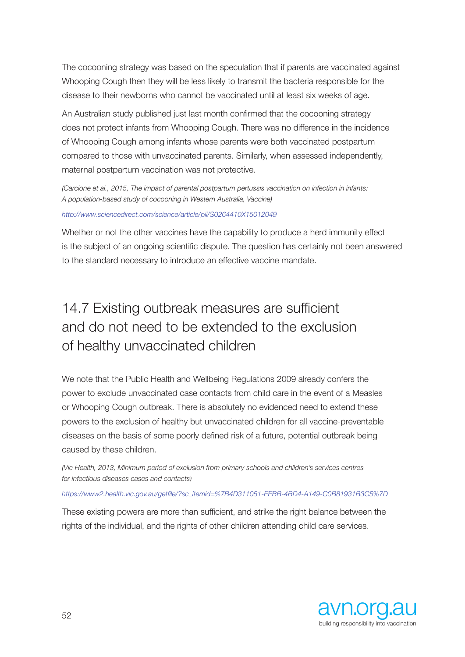The cocooning strategy was based on the speculation that if parents are vaccinated against Whooping Cough then they will be less likely to transmit the bacteria responsible for the disease to their newborns who cannot be vaccinated until at least six weeks of age.

An Australian study published just last month confirmed that the cocooning strategy does not protect infants from Whooping Cough. There was no difference in the incidence of Whooping Cough among infants whose parents were both vaccinated postpartum compared to those with unvaccinated parents. Similarly, when assessed independently, maternal postpartum vaccination was not protective.

*(Carcione et al., 2015, The impact of parental postpartum pertussis vaccination on infection in infants: A population-based study of cocooning in Western Australia, Vaccine)*

#### *http://www.sciencedirect.com/science/article/pii/S0264410X15012049*

Whether or not the other vaccines have the capability to produce a herd immunity effect is the subject of an ongoing scientific dispute. The question has certainly not been answered to the standard necessary to introduce an effective vaccine mandate.

## 14.7 Existing outbreak measures are sufficient and do not need to be extended to the exclusion of healthy unvaccinated children

We note that the Public Health and Wellbeing Regulations 2009 already confers the power to exclude unvaccinated case contacts from child care in the event of a Measles or Whooping Cough outbreak. There is absolutely no evidenced need to extend these powers to the exclusion of healthy but unvaccinated children for all vaccine-preventable diseases on the basis of some poorly defined risk of a future, potential outbreak being caused by these children.

*(Vic Health, 2013, Minimum period of exclusion from primary schools and children's services centres for infectious diseases cases and contacts)* 

#### *https://www2.health.vic.gov.au/getfile/?sc\_itemid=%7B4D311051-EEBB-4BD4-A149-C0B81931B3C5%7D*

These existing powers are more than sufficient, and strike the right balance between the rights of the individual, and the rights of other children attending child care services.

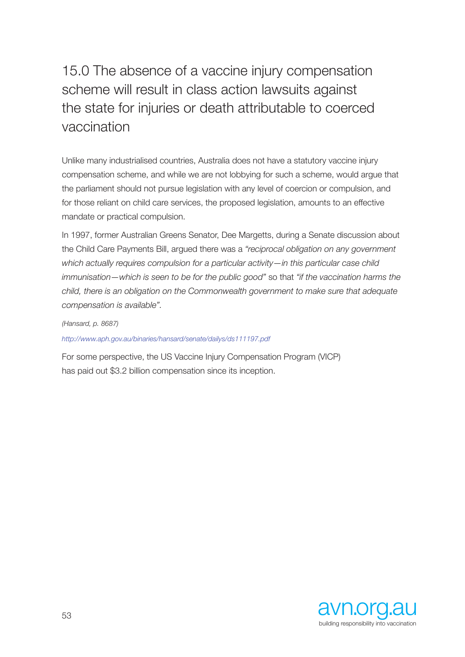# 15.0 The absence of a vaccine injury compensation scheme will result in class action lawsuits against the state for injuries or death attributable to coerced vaccination

Unlike many industrialised countries, Australia does not have a statutory vaccine injury compensation scheme, and while we are not lobbying for such a scheme, would argue that the parliament should not pursue legislation with any level of coercion or compulsion, and for those reliant on child care services, the proposed legislation, amounts to an effective mandate or practical compulsion.

In 1997, former Australian Greens Senator, Dee Margetts, during a Senate discussion about the Child Care Payments Bill, argued there was a *"reciprocal obligation on any government which actually requires compulsion for a particular activity—in this particular case child immunisation—which is seen to be for the public good"* so that *"if the vaccination harms the child, there is an obligation on the Commonwealth government to make sure that adequate compensation is available".*

*(Hansard, p. 8687)* 

*http://www.aph.gov.au/binaries/hansard/senate/dailys/ds111197.pdf* 

For some perspective, the US Vaccine Injury Compensation Program (VICP) has paid out \$3.2 billion compensation since its inception.

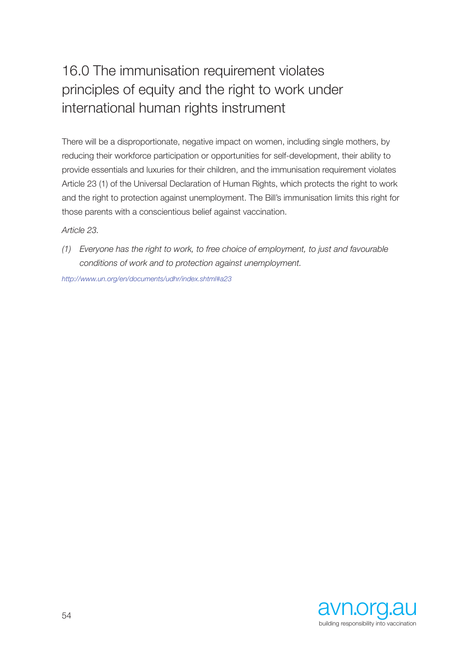# 16.0 The immunisation requirement violates principles of equity and the right to work under international human rights instrument

There will be a disproportionate, negative impact on women, including single mothers, by reducing their workforce participation or opportunities for self-development, their ability to provide essentials and luxuries for their children, and the immunisation requirement violates Article 23 (1) of the Universal Declaration of Human Rights, which protects the right to work and the right to protection against unemployment. The Bill's immunisation limits this right for those parents with a conscientious belief against vaccination.

*Article 23.* 

*(1) Everyone has the right to work, to free choice of employment, to just and favourable conditions of work and to protection against unemployment.* 

*http://www.un.org/en/documents/udhr/index.shtml#a23* 

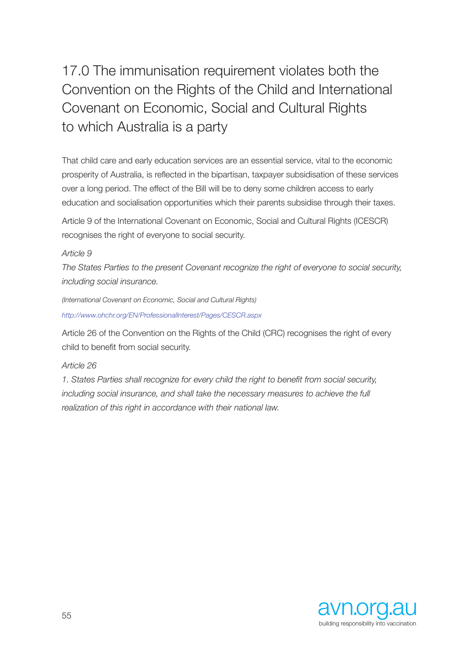17.0 The immunisation requirement violates both the Convention on the Rights of the Child and International Covenant on Economic, Social and Cultural Rights to which Australia is a party

That child care and early education services are an essential service, vital to the economic prosperity of Australia, is reflected in the bipartisan, taxpayer subsidisation of these services over a long period. The effect of the Bill will be to deny some children access to early education and socialisation opportunities which their parents subsidise through their taxes.

Article 9 of the International Covenant on Economic, Social and Cultural Rights (ICESCR) recognises the right of everyone to social security.

### *Article 9*

*The States Parties to the present Covenant recognize the right of everyone to social security, including social insurance.*

*(International Covenant on Economic, Social and Cultural Rights) http://www.ohchr.org/EN/ProfessionalInterest/Pages/CESCR.aspx* 

Article 26 of the Convention on the Rights of the Child (CRC) recognises the right of every child to benefit from social security.

### *Article 26*

*1. States Parties shall recognize for every child the right to benefit from social security, including social insurance, and shall take the necessary measures to achieve the full realization of this right in accordance with their national law.* 

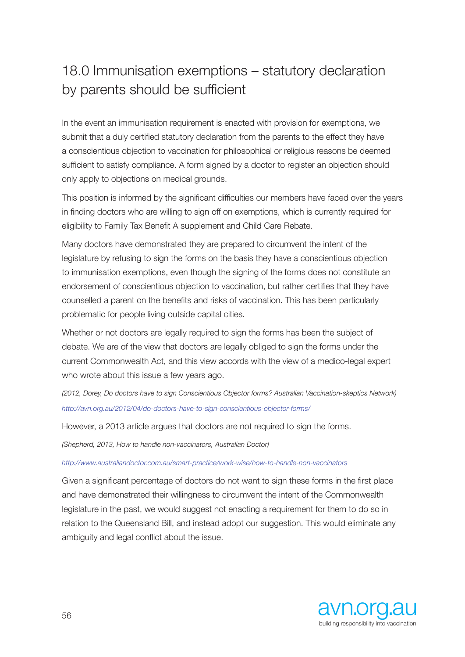## 18.0 Immunisation exemptions – statutory declaration by parents should be sufficient

In the event an immunisation requirement is enacted with provision for exemptions, we submit that a duly certified statutory declaration from the parents to the effect they have a conscientious objection to vaccination for philosophical or religious reasons be deemed sufficient to satisfy compliance. A form signed by a doctor to register an objection should only apply to objections on medical grounds.

This position is informed by the significant difficulties our members have faced over the years in finding doctors who are willing to sign off on exemptions, which is currently required for eligibility to Family Tax Benefit A supplement and Child Care Rebate.

Many doctors have demonstrated they are prepared to circumvent the intent of the legislature by refusing to sign the forms on the basis they have a conscientious objection to immunisation exemptions, even though the signing of the forms does not constitute an endorsement of conscientious objection to vaccination, but rather certifies that they have counselled a parent on the benefits and risks of vaccination. This has been particularly problematic for people living outside capital cities.

Whether or not doctors are legally required to sign the forms has been the subject of debate. We are of the view that doctors are legally obliged to sign the forms under the current Commonwealth Act, and this view accords with the view of a medico-legal expert who wrote about this issue a few years ago.

*(2012, Dorey, Do doctors have to sign Conscientious Objector forms? Australian Vaccination-skeptics Network) http://avn.org.au/2012/04/do-doctors-have-to-sign-conscientious-objector-forms/* 

However, a 2013 article argues that doctors are not required to sign the forms.

*(Shepherd, 2013, How to handle non-vaccinators, Australian Doctor)* 

*http://www.australiandoctor.com.au/smart-practice/work-wise/how-to-handle-non-vaccinators*

Given a significant percentage of doctors do not want to sign these forms in the first place and have demonstrated their willingness to circumvent the intent of the Commonwealth legislature in the past, we would suggest not enacting a requirement for them to do so in relation to the Queensland Bill, and instead adopt our suggestion. This would eliminate any ambiguity and legal conflict about the issue.

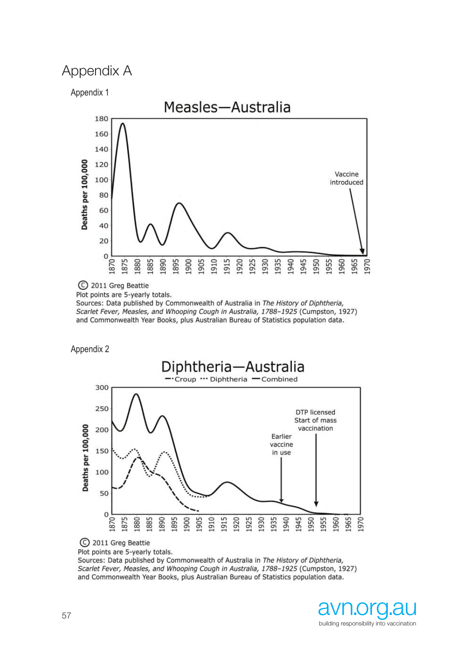#### Appendix A **Appendix A** Appendix 1 Appendix 1

Appendix 1



C 2011 Greg Beattie

Sources: Data published by Commonwealth of Australia in The History of Diphtheria, Scarlet Fever, Measles, and Whooping Cough in Australia, 1788-1925 (Cumpston, 1927) and Commonwealth Year Books, plus Australian Bureau of Statistics population data.

Appendix 2 Appendix 2



C 2011 Greg Beattie

Sources: Data published by Commonwealth of Australia in The History of Diphtheria, Scarlet Fever, Measles, and Whooping Cough in Australia, 1788-1925 (Cumpston, 1927) and Commonwealth Year Books, plus Australian Bureau of Statistics population data.

Plot points are 5-yearly totals.

Plot points are 5-yearly totals.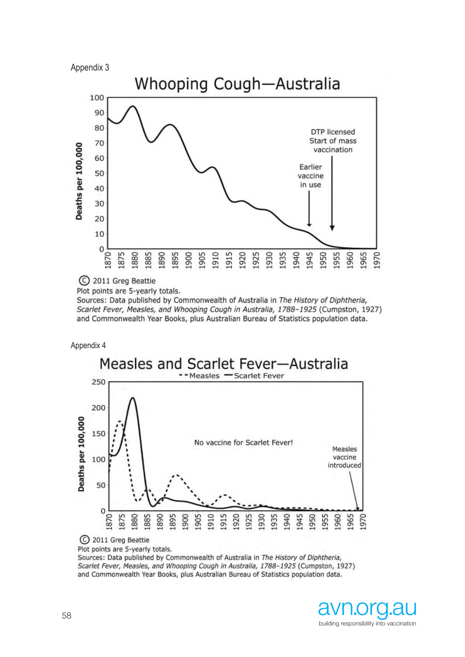



C 2011 Greg Beattie

Plot points are 5-yearly totals.

Sources: Data published by Commonwealth of Australia in The History of Diphtheria, Scarlet Fever, Measles, and Whooping Cough in Australia, 1788-1925 (Cumpston, 1927) and Commonwealth Year Books, plus Australian Bureau of Statistics population data.

Appendix 4 Appendix 4 Appendix 4 Appendix 4



Plot points are 5-yearly totals.

Sources: Data published by Commonwealth of Australia in The History of Diphtheria, Scarlet Fever, Measles, and Whooping Cough in Australia, 1788-1925 (Cumpston, 1927) and Commonwealth Year Books, plus Australian Bureau of Statistics population data.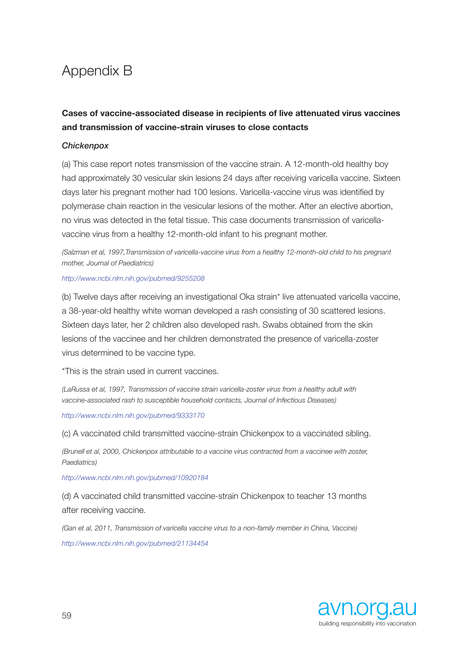## Appendix B

### **Cases of vaccine-associated disease in recipients of live attenuated virus vaccines and transmission of vaccine-strain viruses to close contacts**

### *Chickenpox*

(a) This case report notes transmission of the vaccine strain. A 12-month-old healthy boy had approximately 30 vesicular skin lesions 24 days after receiving varicella vaccine. Sixteen days later his pregnant mother had 100 lesions. Varicella-vaccine virus was identified by polymerase chain reaction in the vesicular lesions of the mother. After an elective abortion, no virus was detected in the fetal tissue. This case documents transmission of varicellavaccine virus from a healthy 12-month-old infant to his pregnant mother.

*(Salzman et al, 1997,Transmission of varicella-vaccine virus from a healthy 12-month-old child to his pregnant mother, Journal of Paediatrics)* 

#### *http://www.ncbi.nlm.nih.gov/pubmed/9255208*

(b) Twelve days after receiving an investigational Oka strain\* live attenuated varicella vaccine, a 38-year-old healthy white woman developed a rash consisting of 30 scattered lesions. Sixteen days later, her 2 children also developed rash. Swabs obtained from the skin lesions of the vaccinee and her children demonstrated the presence of varicella-zoster virus determined to be vaccine type.

\*This is the strain used in current vaccines.

*(LaRussa et al, 1997, Transmission of vaccine strain varicella-zoster virus from a healthy adult with vaccine-associated rash to susceptible household contacts, Journal of Infectious Diseases)*

*http://www.ncbi.nlm.nih.gov/pubmed/9333170* 

(c) A vaccinated child transmitted vaccine-strain Chickenpox to a vaccinated sibling.

*(Brunell et al, 2000, Chickenpox attributable to a vaccine virus contracted from a vaccinee with zoster, Paediatrics)*

### *http://www.ncbi.nlm.nih.gov/pubmed/10920184*

(d) A vaccinated child transmitted vaccine-strain Chickenpox to teacher 13 months after receiving vaccine.

*(Gan et al, 2011, Transmission of varicella vaccine virus to a non-family member in China, Vaccine) http://www.ncbi.nlm.nih.gov/pubmed/21134454* 

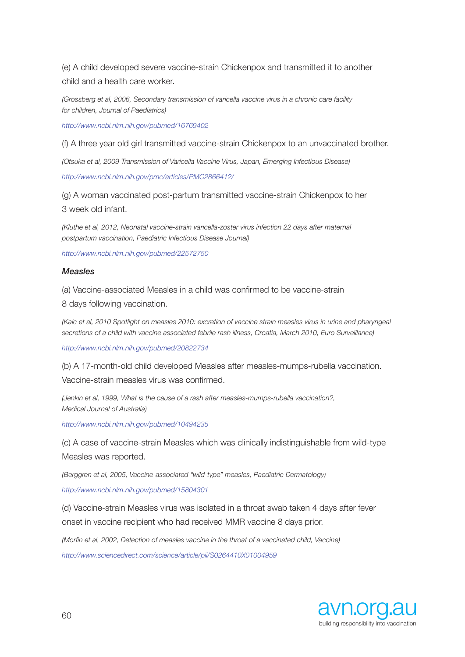(e) A child developed severe vaccine-strain Chickenpox and transmitted it to another child and a health care worker.

*(Grossberg et al, 2006, Secondary transmission of varicella vaccine virus in a chronic care facility for children, Journal of Paediatrics)* 

*http://www.ncbi.nlm.nih.gov/pubmed/16769402* 

(f) A three year old girl transmitted vaccine-strain Chickenpox to an unvaccinated brother.

*(Otsuka et al, 2009 Transmission of Varicella Vaccine Virus, Japan, Emerging Infectious Disease) http://www.ncbi.nlm.nih.gov/pmc/articles/PMC2866412/* 

(g) A woman vaccinated post-partum transmitted vaccine-strain Chickenpox to her 3 week old infant.

*(Kluthe et al, 2012, Neonatal vaccine-strain varicella-zoster virus infection 22 days after maternal postpartum vaccination, Paediatric Infectious Disease Journal)* 

*http://www.ncbi.nlm.nih.gov/pubmed/22572750* 

#### *Measles*

(a) Vaccine-associated Measles in a child was confirmed to be vaccine-strain 8 days following vaccination.

*(Kaic et al, 2010 Spotlight on measles 2010: excretion of vaccine strain measles virus in urine and pharyngeal secretions of a child with vaccine associated febrile rash illness, Croatia, March 2010, Euro Surveillance)*

*http://www.ncbi.nlm.nih.gov/pubmed/20822734* 

(b) A 17-month-old child developed Measles after measles-mumps-rubella vaccination. Vaccine-strain measles virus was confirmed.

*(Jenkin et al, 1999, What is the cause of a rash after measles-mumps-rubella vaccination?, Medical Journal of Australia)* 

*http://www.ncbi.nlm.nih.gov/pubmed/10494235* 

(c) A case of vaccine-strain Measles which was clinically indistinguishable from wild-type Measles was reported.

*(Berggren et al, 2005, Vaccine-associated "wild-type" measles, Paediatric Dermatology)* 

*http://www.ncbi.nlm.nih.gov/pubmed/15804301* 

(d) Vaccine-strain Measles virus was isolated in a throat swab taken 4 days after fever onset in vaccine recipient who had received MMR vaccine 8 days prior.

*(Morfin et al, 2002, Detection of measles vaccine in the throat of a vaccinated child, Vaccine)* 

*http://www.sciencedirect.com/science/article/pii/S0264410X01004959* 

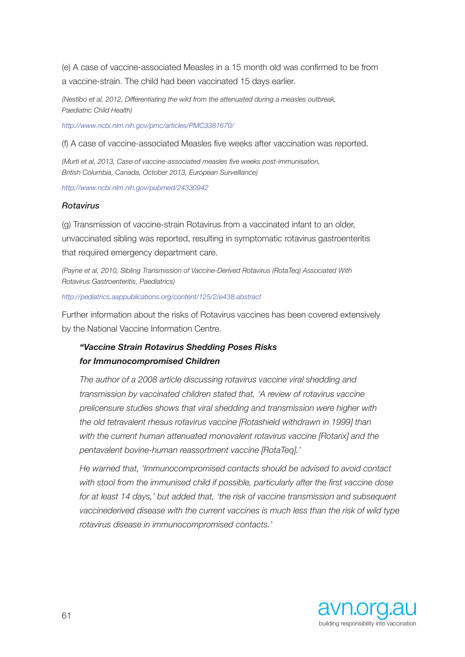(e) A case of vaccine-associated Measles in a 15 month old was confirmed to be from a vaccine-strain. The child had been vaccinated 15 days earlier.

*(Nestibo et al, 2012, Differentiating the wild from the attenuated during a measles outbreak, Paediatric Child Health)* 

*http://www.ncbi.nlm.nih.gov/pmc/articles/PMC3381670/* 

(f) A case of vaccine-associated Measles five weeks after vaccination was reported.

*(Murti et al, 2013, Case of vaccine-associated measles five weeks post-immunisation, British Columbia, Canada, October 2013, European Surveillance)*

*http://www.ncbi.nlm.nih.gov/pubmed/24330942* 

### *Rotavirus*

(g) Transmission of vaccine-strain Rotavirus from a vaccinated infant to an older, unvaccinated sibling was reported, resulting in symptomatic rotavirus gastroenteritis that required emergency department care.

*(Payne et al, 2010, Sibling Transmission of Vaccine-Derived Rotavirus (RotaTeq) Associated With Rotavirus Gastroenteritis, Paediatrics)* 

*http://pediatrics.aappublications.org/content/125/2/e438.abstract* 

Further information about the risks of Rotavirus vaccines has been covered extensively by the National Vaccine Information Centre.

### *"Vaccine Strain Rotavirus Shedding Poses Risks for Immunocompromised Children*

*The author of a 2008 article discussing rotavirus vaccine viral shedding and transmission by vaccinated children stated that, 'A review of rotavirus vaccine prelicensure studies shows that viral shedding and transmission were higher with the old tetravalent rhesus rotavirus vaccine [Rotashield withdrawn in 1999] than with the current human attenuated monovalent rotavirus vaccine [Rotarix] and the pentavalent bovine-human reassortment vaccine [RotaTeq].'* 

*He warned that, 'Immunocompromised contacts should be advised to avoid contact with stool from the immunised child if possible, particularly after the first vaccine dose for at least 14 days,' but added that, 'the risk of vaccine transmission and subsequent vaccinederived disease with the current vaccines is much less than the risk of wild type rotavirus disease in immunocompromised contacts.'*

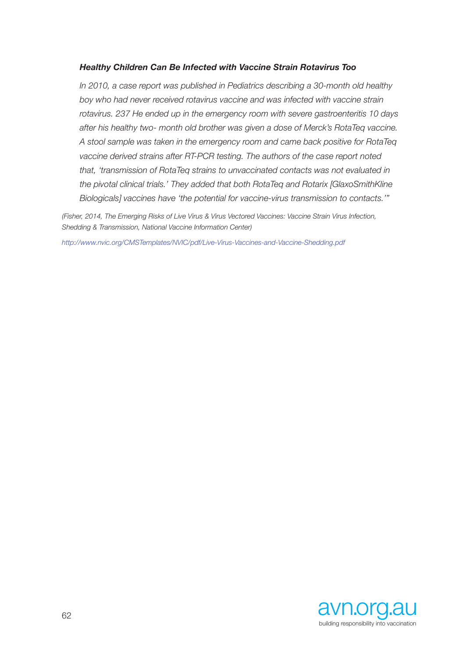### *Healthy Children Can Be Infected with Vaccine Strain Rotavirus Too*

*In 2010, a case report was published in Pediatrics describing a 30-month old healthy boy who had never received rotavirus vaccine and was infected with vaccine strain rotavirus. 237 He ended up in the emergency room with severe gastroenteritis 10 days after his healthy two- month old brother was given a dose of Merck's RotaTeq vaccine. A stool sample was taken in the emergency room and came back positive for RotaTeq vaccine derived strains after RT-PCR testing. The authors of the case report noted that, 'transmission of RotaTeq strains to unvaccinated contacts was not evaluated in the pivotal clinical trials.' They added that both RotaTeq and Rotarix [GlaxoSmithKline Biologicals] vaccines have 'the potential for vaccine-virus transmission to contacts.'"*

*(Fisher, 2014, The Emerging Risks of Live Virus & Virus Vectored Vaccines: Vaccine Strain Virus Infection, Shedding & Transmission, National Vaccine Information Center)* 

*http://www.nvic.org/CMSTemplates/NVIC/pdf/Live-Virus-Vaccines-and-Vaccine-Shedding.pdf*